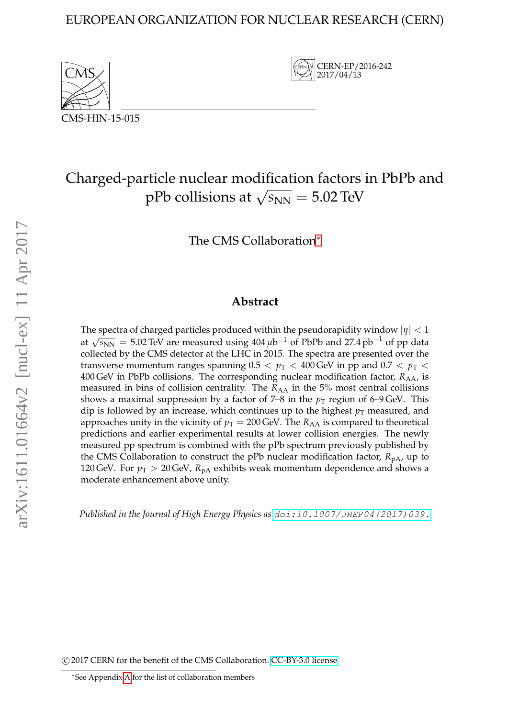# EUROPEAN ORGANIZATION FOR NUCLEAR RESEARCH (CERN)





# Charged-particle nuclear modification factors in PbPb and pPb collisions at  $\sqrt{s_{NN}} = 5.02$  TeV

The CMS Collaboration[∗](#page-0-0)

# **Abstract**

The spectra of charged particles produced within the pseudorapidity window |*η*| < 1 at  $\sqrt{s_{NN}}$  = 5.02 TeV are measured using 404  $\mu$ b<sup>-1</sup> of PbPb and 27.4 pb<sup>-1</sup> of pp data collected by the CMS detector at the LHC in 2015. The spectra are presented over the transverse momentum ranges spanning  $0.5 < p_T < 400$  GeV in pp and  $0.7 < p_T <$ 400 GeV in PbPb collisions. The corresponding nuclear modification factor, R<sub>AA</sub>, is measured in bins of collision centrality. The  $R_{AA}$  in the 5% most central collisions shows a maximal suppression by a factor of  $7-8$  in the  $p<sub>T</sub>$  region of 6–9 GeV. This dip is followed by an increase, which continues up to the highest  $p<sub>T</sub>$  measured, and approaches unity in the vicinity of  $p_T = 200$  GeV. The  $R_{AA}$  is compared to theoretical predictions and earlier experimental results at lower collision energies. The newly measured pp spectrum is combined with the pPb spectrum previously published by the CMS Collaboration to construct the pPb nuclear modification factor,  $R_{pA}$ , up to 120 GeV. For  $p_T > 20$  GeV,  $R_{pA}$  exhibits weak momentum dependence and shows a moderate enhancement above unity.

*Published in the Journal of High Energy Physics as* [doi:10.1007/JHEP04\(2017\)039.](http://dx.doi.org/10.1007/JHEP04(2017)039)

c 2017 CERN for the benefit of the CMS Collaboration. [CC-BY-3.0 license](http://creativecommons.org/licenses/by/3.0)

<span id="page-0-0"></span><sup>∗</sup>See Appendix [A](#page-22-0) for the list of collaboration members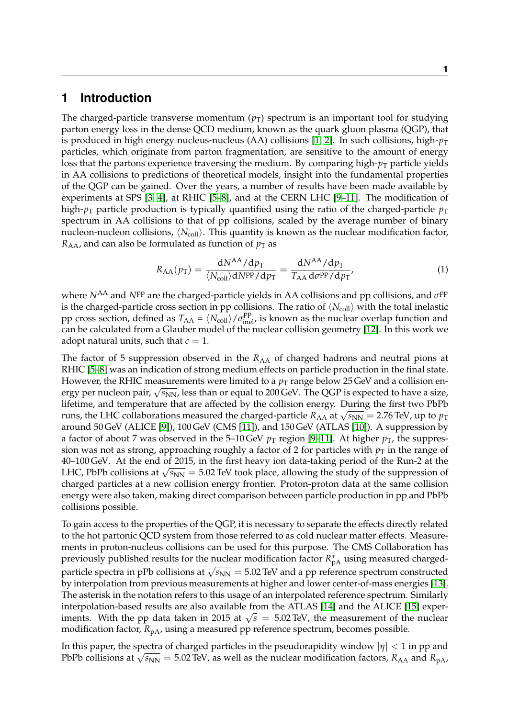# **1 Introduction**

The charged-particle transverse momentum  $(p_T)$  spectrum is an important tool for studying parton energy loss in the dense QCD medium, known as the quark gluon plasma (QGP), that is produced in high energy nucleus-nucleus (AA) collisions [\[1,](#page-18-0) [2\]](#page-18-1). In such collisions, high- $p_T$ particles, which originate from parton fragmentation, are sensitive to the amount of energy loss that the partons experience traversing the medium. By comparing high- $p<sub>T</sub>$  particle yields in AA collisions to predictions of theoretical models, insight into the fundamental properties of the QGP can be gained. Over the years, a number of results have been made available by experiments at SPS [\[3,](#page-18-2) [4\]](#page-18-3), at RHIC [\[5–](#page-18-4)[8\]](#page-18-5), and at the CERN LHC [\[9](#page-18-6)[–11\]](#page-18-7). The modification of high- $p_T$  particle production is typically quantified using the ratio of the charged-particle  $p_T$ spectrum in AA collisions to that of pp collisions, scaled by the average number of binary nucleon-nucleon collisions,  $\langle N_{\text{coll}}\rangle$ . This quantity is known as the nuclear modification factor,  $R_{AA}$ , and can also be formulated as function of  $p<sub>T</sub>$  as

<span id="page-2-0"></span>
$$
R_{\rm AA}(p_{\rm T}) = \frac{\mathrm{d}N^{\rm AA}/\mathrm{d}p_{\rm T}}{\langle N_{\rm coll} \rangle \mathrm{d}N^{\rm pp}/\mathrm{d}p_{\rm T}} = \frac{\mathrm{d}N^{\rm AA}/\mathrm{d}p_{\rm T}}{T_{\rm AA} \,\mathrm{d}\sigma^{\rm pp}/\mathrm{d}p_{\rm T}},\tag{1}
$$

where *N*<sup>AA</sup> and *N*<sup>pp</sup> are the charged-particle yields in AA collisions and pp collisions, and *σ*<sup>pp</sup> is the charged-particle cross section in pp collisions. The ratio of  $\langle N_{\text{coll}} \rangle$  with the total inelastic pp cross section, defined as  $T_{AA} = \langle N_{coll} \rangle / \sigma_{inel}^{pp}$ , is known as the nuclear overlap function and can be calculated from a Glauber model of the nuclear collision geometry [\[12\]](#page-18-8). In this work we adopt natural units, such that  $c = 1$ .

The factor of 5 suppression observed in the  $R_{AA}$  of charged hadrons and neutral pions at RHIC [\[5](#page-18-4)[–8\]](#page-18-5) was an indication of strong medium effects on particle production in the final state. However, the RHIC measurements were limited to a  $p_T$  range below 25 GeV and a collision enriowever, the Kritc measurements were filmled to a  $p_{\rm T}$  range below 25 Gev and a collision en-<br>ergy per nucleon pair, √s<sub>NN</sub>, less than or equal to 200 GeV. The QGP is expected to have a size, lifetime, and temperature that are affected by the collision energy. During the first two PbPb mettine, and temperature that are affected by the collision energy. During the first two rbrb<br>runs, the LHC collaborations measured the charged-particle  $R_{AA}$  at  $\sqrt{s_{NN}} = 2.76$  TeV, up to  $p_T$ around 50 GeV (ALICE [\[9\]](#page-18-6)), 100 GeV (CMS [\[11\]](#page-18-7)), and 150 GeV (ATLAS [\[10\]](#page-18-9)). A suppression by a factor of about 7 was observed in the 5–10 GeV  $p_T$  region [\[9–](#page-18-6)[11\]](#page-18-7). At higher  $p_T$ , the suppression was not as strong, approaching roughly a factor of 2 for particles with  $p<sub>T</sub>$  in the range of 40–100 GeV. At the end of 2015, in the first heavy ion data-taking period of the Run-2 at the *a* b–100 Gev. At the end of 2015, in the first heavy fon data-taking period of the Kun-2 at the<br>LHC, PbPb collisions at  $\sqrt{s_{NN}}$  = 5.02 TeV took place, allowing the study of the suppression of charged particles at a new collision energy frontier. Proton-proton data at the same collision energy were also taken, making direct comparison between particle production in pp and PbPb collisions possible.

To gain access to the properties of the QGP, it is necessary to separate the effects directly related to the hot partonic QCD system from those referred to as cold nuclear matter effects. Measurements in proton-nucleus collisions can be used for this purpose. The CMS Collaboration has previously published results for the nuclear modification factor  $R_{pA}^*$  using measured charged- $\frac{1}{\text{particle}}$  spectra in pPb collisions at  $\sqrt{s_{NN}} = 5.02$  TeV and a pp reference spectrum constructed by interpolation from previous measurements at higher and lower center-of-mass energies [\[13\]](#page-18-10). The asterisk in the notation refers to this usage of an interpolated reference spectrum. Similarly interpolation-based results are also available from the ATLAS [\[14\]](#page-19-0) and the ALICE [\[15\]](#page-19-1) experimerpolation-based results are also available from the ATLA5 [14] and the ALICE [15] exper-<br>iments. With the pp data taken in 2015 at  $\sqrt{s} = 5.02$  TeV, the measurement of the nuclear modification factor,  $R_{pA}$ , using a measured pp reference spectrum, becomes possible.

In this paper, the spectra of charged particles in the pseudorapidity window  $|\eta|$  < 1 in pp and In this paper, the spectra of charged particles in the pseudorapidity window  $|\eta| < 1$  in pp and  $R_{\rm pA}$ , pbPb collisions at  $\sqrt{s_{\rm NN}} = 5.02$  TeV, as well as the nuclear modification factors,  $R_{\rm AA}$  and  $R_{\rm pA}$ ,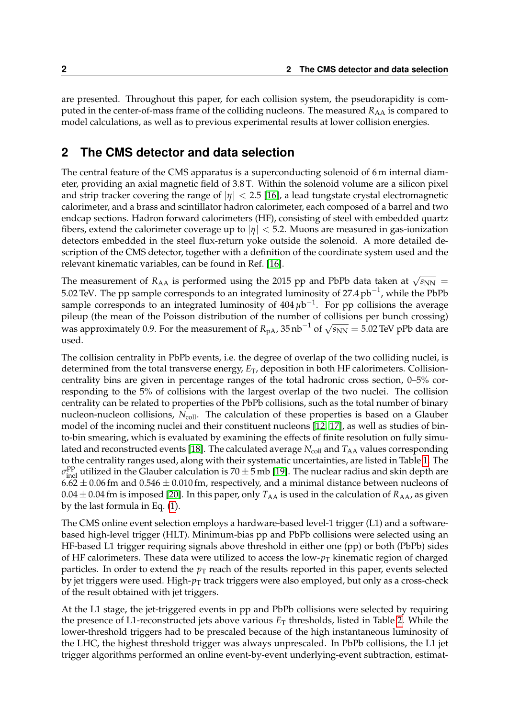are presented. Throughout this paper, for each collision system, the pseudorapidity is computed in the center-of-mass frame of the colliding nucleons. The measured  $R_{AA}$  is compared to model calculations, as well as to previous experimental results at lower collision energies.

# <span id="page-3-0"></span>**2 The CMS detector and data selection**

The central feature of the CMS apparatus is a superconducting solenoid of 6 m internal diameter, providing an axial magnetic field of 3.8 T. Within the solenoid volume are a silicon pixel and strip tracker covering the range of  $|\eta|$  < 2.5 [\[16\]](#page-19-2), a lead tungstate crystal electromagnetic calorimeter, and a brass and scintillator hadron calorimeter, each composed of a barrel and two endcap sections. Hadron forward calorimeters (HF), consisting of steel with embedded quartz fibers, extend the calorimeter coverage up to  $|\eta|$  < 5.2. Muons are measured in gas-ionization detectors embedded in the steel flux-return yoke outside the solenoid. A more detailed description of the CMS detector, together with a definition of the coordinate system used and the relevant kinematic variables, can be found in Ref. [\[16\]](#page-19-2).

The measurement of  $R_{AA}$  is performed using the 2015 pp and PbPb data taken at  $\sqrt{s_{NN}}$  = 5.02 TeV. The pp sample corresponds to an integrated luminosity of 27.4  $pb^{-1}$ , while the PbPb sample corresponds to an integrated luminosity of  $404 \mu b^{-1}$ . For pp collisions the average pileup (the mean of the Poisson distribution of the number of collisions per bunch crossing) pheup (the mean of the 1 0.580H distribution of the number of comsions per bunch crossing)<br>was approximately 0.9. For the measurement of *R*<sub>pA</sub>, 35 nb<sup>-1</sup> of  $\sqrt{s_{NN}}$  = 5.02 TeV pPb data are used.

The collision centrality in PbPb events, i.e. the degree of overlap of the two colliding nuclei, is determined from the total transverse energy, *E*T, deposition in both HF calorimeters. Collisioncentrality bins are given in percentage ranges of the total hadronic cross section, 0–5% corresponding to the 5% of collisions with the largest overlap of the two nuclei. The collision centrality can be related to properties of the PbPb collisions, such as the total number of binary nucleon-nucleon collisions,  $N_{\text{coll}}$ . The calculation of these properties is based on a Glauber model of the incoming nuclei and their constituent nucleons [\[12,](#page-18-8) [17\]](#page-19-3), as well as studies of binto-bin smearing, which is evaluated by examining the effects of finite resolution on fully simu-lated and reconstructed events [\[18\]](#page-19-4). The calculated average  $N_{coll}$  and  $T_{AA}$  values corresponding to the centrality ranges used, along with their systematic uncertainties, are listed in Table [1.](#page-4-0) The  $\sigma_{\rm inel}^{\rm PP}$  utilized in the Glauber calculation is 70  $\pm$  5 mb [\[19\]](#page-19-5). The nuclear radius and skin depth are  $6.62 \pm 0.06$  fm and  $0.546 \pm 0.010$  fm, respectively, and a minimal distance between nucleons of  $0.04 \pm 0.04$  fm is imposed [\[20\]](#page-19-6). In this paper, only  $T_{AA}$  is used in the calculation of  $R_{AA}$ , as given by the last formula in Eq. [\(1\)](#page-2-0).

The CMS online event selection employs a hardware-based level-1 trigger (L1) and a softwarebased high-level trigger (HLT). Minimum-bias pp and PbPb collisions were selected using an HF-based L1 trigger requiring signals above threshold in either one (pp) or both (PbPb) sides of HF calorimeters. These data were utilized to access the low- $p_T$  kinematic region of charged particles. In order to extend the  $p<sub>T</sub>$  reach of the results reported in this paper, events selected by jet triggers were used. High- $p<sub>T</sub>$  track triggers were also employed, but only as a cross-check of the result obtained with jet triggers.

At the L1 stage, the jet-triggered events in pp and PbPb collisions were selected by requiring the presence of L1-reconstructed jets above various  $E_T$  thresholds, listed in Table [2.](#page-4-1) While the lower-threshold triggers had to be prescaled because of the high instantaneous luminosity of the LHC, the highest threshold trigger was always unprescaled. In PbPb collisions, the L1 jet trigger algorithms performed an online event-by-event underlying-event subtraction, estimat-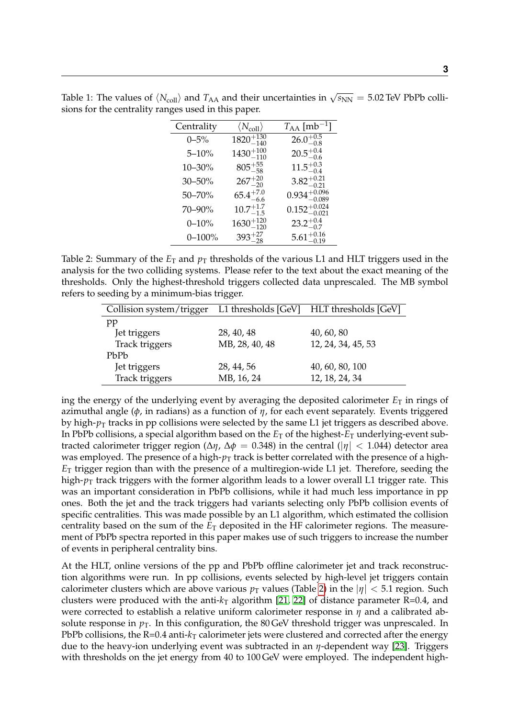| Centrality | $\langle N_{\rm coll} \rangle$ | $T_{AA}$ [mb <sup>-1</sup> ] |  |  |
|------------|--------------------------------|------------------------------|--|--|
| $0 - 5%$   | $1820^{+130}_{-140}$           | $26.0^{+0.5}_{-0.8}$         |  |  |
| $5 - 10%$  | $1430^{+100}_{-110}$           | $20.5^{+0.4}_{-0.6}$         |  |  |
| 10-30%     | $805^{+55}_{-58}$              | $11.5^{+0.3}_{-0.4}$         |  |  |
| 30-50%     | $267^{+20}_{-20}$              | $3.82^{+0.21}_{-0.21}$       |  |  |
| 50-70%     | $65.4^{+7.0}_{-6.6}$           | $0.934^{+0.096}_{-0.089}$    |  |  |
| 70-90%     | $10.7^{+1.7}_{-1.5}$           | $0.152^{+0.024}_{-0.021}$    |  |  |
| $0 - 10%$  | $1630^{+120}_{-120}$           | $23.2^{+0.4}_{-0.7}$         |  |  |
| $0 - 100%$ | $393^{+27}_{-28}$              | $5.61^{+0.16}_{-0.19}$       |  |  |

<span id="page-4-0"></span>Table 1: The values of  $\langle N_{\text{coll}} \rangle$  and  $T_{AA}$  and their uncertainties in  $\sqrt{s_{NN}} = 5.02$  TeV PbPb collisions for the centrality ranges used in this paper.

<span id="page-4-1"></span>Table 2: Summary of the  $E_T$  and  $p_T$  thresholds of the various L1 and HLT triggers used in the analysis for the two colliding systems. Please refer to the text about the exact meaning of the thresholds. Only the highest-threshold triggers collected data unprescaled. The MB symbol refers to seeding by a minimum-bias trigger.

| Collision system/trigger | L1 thresholds [GeV] | HLT thresholds [GeV] |  |
|--------------------------|---------------------|----------------------|--|
| pp                       |                     |                      |  |
| Jet triggers             | 28, 40, 48          | 40, 60, 80           |  |
| Track triggers           | MB, 28, 40, 48      | 12, 24, 34, 45, 53   |  |
| PbPb                     |                     |                      |  |
| Jet triggers             | 28, 44, 56          | 40, 60, 80, 100      |  |
| Track triggers           | MB, 16, 24          | 12, 18, 24, 34       |  |

ing the energy of the underlying event by averaging the deposited calorimeter  $E_T$  in rings of azimuthal angle (*φ*, in radians) as a function of *η*, for each event separately. Events triggered by high- $p<sub>T</sub>$  tracks in pp collisions were selected by the same L1 jet triggers as described above. In PbPb collisions, a special algorithm based on the  $E<sub>T</sub>$  of the highest- $E<sub>T</sub>$  underlying-event subtracted calorimeter trigger region ( $Δη$ ,  $Δφ = 0.348$ ) in the central ( $|η| < 1.044$ ) detector area was employed. The presence of a high- $p_T$  track is better correlated with the presence of a high-*E*<sup>T</sup> trigger region than with the presence of a multiregion-wide L1 jet. Therefore, seeding the high- $p<sub>T</sub>$  track triggers with the former algorithm leads to a lower overall L1 trigger rate. This was an important consideration in PbPb collisions, while it had much less importance in pp ones. Both the jet and the track triggers had variants selecting only PbPb collision events of specific centralities. This was made possible by an L1 algorithm, which estimated the collision centrality based on the sum of the  $E_T$  deposited in the HF calorimeter regions. The measurement of PbPb spectra reported in this paper makes use of such triggers to increase the number of events in peripheral centrality bins.

At the HLT, online versions of the pp and PbPb offline calorimeter jet and track reconstruction algorithms were run. In pp collisions, events selected by high-level jet triggers contain calorimeter clusters which are above various  $p<sub>T</sub>$  values (Table [2\)](#page-4-1) in the  $|\eta| < 5.1$  region. Such clusters were produced with the anti- $k<sub>T</sub>$  algorithm [\[21,](#page-19-7) [22\]](#page-19-8) of distance parameter R=0.4, and were corrected to establish a relative uniform calorimeter response in *η* and a calibrated absolute response in  $p<sub>T</sub>$ . In this configuration, the 80 GeV threshold trigger was unprescaled. In PbPb collisions, the  $R=0.4$  anti- $k<sub>T</sub>$  calorimeter jets were clustered and corrected after the energy due to the heavy-ion underlying event was subtracted in an *η*-dependent way [\[23\]](#page-19-9). Triggers with thresholds on the jet energy from 40 to 100 GeV were employed. The independent high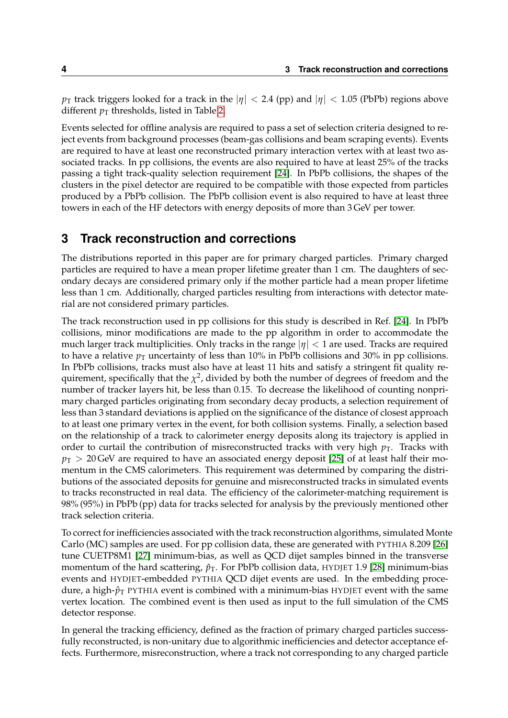*p*<sub>T</sub> track triggers looked for a track in the  $|\eta| < 2.4$  (pp) and  $|\eta| < 1.05$  (PbPb) regions above different  $p_T$  thresholds, listed in Table [2.](#page-4-1)

Events selected for offline analysis are required to pass a set of selection criteria designed to reject events from background processes (beam-gas collisions and beam scraping events). Events are required to have at least one reconstructed primary interaction vertex with at least two associated tracks. In pp collisions, the events are also required to have at least 25% of the tracks passing a tight track-quality selection requirement [\[24\]](#page-19-10). In PbPb collisions, the shapes of the clusters in the pixel detector are required to be compatible with those expected from particles produced by a PbPb collision. The PbPb collision event is also required to have at least three towers in each of the HF detectors with energy deposits of more than 3 GeV per tower.

# <span id="page-5-0"></span>**3 Track reconstruction and corrections**

The distributions reported in this paper are for primary charged particles. Primary charged particles are required to have a mean proper lifetime greater than 1 cm. The daughters of secondary decays are considered primary only if the mother particle had a mean proper lifetime less than 1 cm. Additionally, charged particles resulting from interactions with detector material are not considered primary particles.

The track reconstruction used in pp collisions for this study is described in Ref. [\[24\]](#page-19-10). In PbPb collisions, minor modifications are made to the pp algorithm in order to accommodate the much larger track multiplicities. Only tracks in the range |*η*| < 1 are used. Tracks are required to have a relative  $p<sub>T</sub>$  uncertainty of less than 10% in PbPb collisions and 30% in pp collisions. In PbPb collisions, tracks must also have at least 11 hits and satisfy a stringent fit quality requirement, specifically that the  $\chi^2$ , divided by both the number of degrees of freedom and the number of tracker layers hit, be less than 0.15. To decrease the likelihood of counting nonprimary charged particles originating from secondary decay products, a selection requirement of less than 3 standard deviations is applied on the significance of the distance of closest approach to at least one primary vertex in the event, for both collision systems. Finally, a selection based on the relationship of a track to calorimeter energy deposits along its trajectory is applied in order to curtail the contribution of misreconstructed tracks with very high  $p<sub>T</sub>$ . Tracks with  $p_T > 20$  GeV are required to have an associated energy deposit [\[25\]](#page-19-11) of at least half their momentum in the CMS calorimeters. This requirement was determined by comparing the distributions of the associated deposits for genuine and misreconstructed tracks in simulated events to tracks reconstructed in real data. The efficiency of the calorimeter-matching requirement is 98% (95%) in PbPb (pp) data for tracks selected for analysis by the previously mentioned other track selection criteria.

To correct for inefficiencies associated with the track reconstruction algorithms, simulated Monte Carlo (MC) samples are used. For pp collision data, these are generated with PYTHIA 8.209 [\[26\]](#page-19-12) tune CUETP8M1 [\[27\]](#page-19-13) minimum-bias, as well as QCD dijet samples binned in the transverse momentum of the hard scattering,  $\hat{p}_T$ . For PbPb collision data, HYDJET 1.9 [\[28\]](#page-19-14) minimum-bias events and HYDJET-embedded PYTHIA QCD dijet events are used. In the embedding procedure, a high-*p*ˆ<sup>T</sup> PYTHIA event is combined with a minimum-bias HYDJET event with the same vertex location. The combined event is then used as input to the full simulation of the CMS detector response.

In general the tracking efficiency, defined as the fraction of primary charged particles successfully reconstructed, is non-unitary due to algorithmic inefficiencies and detector acceptance effects. Furthermore, misreconstruction, where a track not corresponding to any charged particle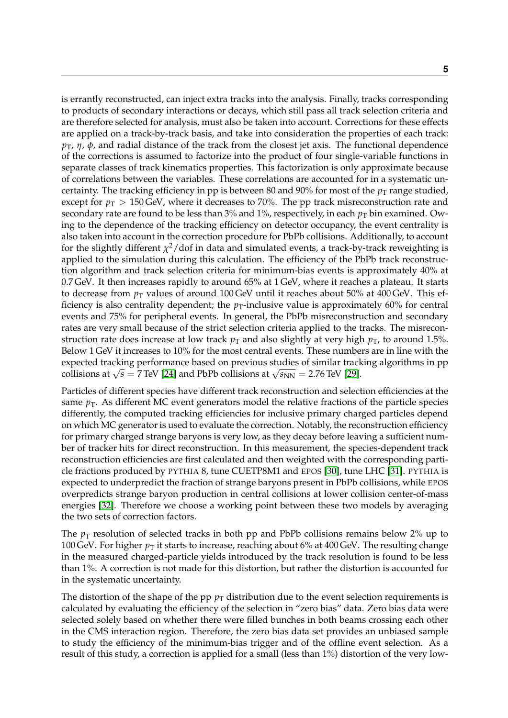is errantly reconstructed, can inject extra tracks into the analysis. Finally, tracks corresponding to products of secondary interactions or decays, which still pass all track selection criteria and are therefore selected for analysis, must also be taken into account. Corrections for these effects are applied on a track-by-track basis, and take into consideration the properties of each track:  $p_T$ , *η*,  $\phi$ , and radial distance of the track from the closest jet axis. The functional dependence of the corrections is assumed to factorize into the product of four single-variable functions in separate classes of track kinematics properties. This factorization is only approximate because of correlations between the variables. These correlations are accounted for in a systematic uncertainty. The tracking efficiency in pp is between 80 and 90% for most of the  $p_T$  range studied, except for  $p_T > 150$  GeV, where it decreases to 70%. The pp track misreconstruction rate and secondary rate are found to be less than 3% and 1%, respectively, in each  $p<sub>T</sub>$  bin examined. Owing to the dependence of the tracking efficiency on detector occupancy, the event centrality is also taken into account in the correction procedure for PbPb collisions. Additionally, to account for the slightly different  $\chi^2$ /dof in data and simulated events, a track-by-track reweighting is applied to the simulation during this calculation. The efficiency of the PbPb track reconstruction algorithm and track selection criteria for minimum-bias events is approximately 40% at 0.7 GeV. It then increases rapidly to around 65% at 1 GeV, where it reaches a plateau. It starts to decrease from  $p_T$  values of around 100 GeV until it reaches about 50% at 400 GeV. This efficiency is also centrality dependent; the  $p<sub>T</sub>$ -inclusive value is approximately 60% for central events and 75% for peripheral events. In general, the PbPb misreconstruction and secondary rates are very small because of the strict selection criteria applied to the tracks. The misreconstruction rate does increase at low track  $p<sub>T</sub>$  and also slightly at very high  $p<sub>T</sub>$ , to around 1.5%. Below 1 GeV it increases to 10% for the most central events. These numbers are in line with the expected tracking performance based on previous studies of similar tracking algorithms in pp expected tracking performance based on previous studies of similar tracking performance based on previous studies of similar tracking collisions at  $\sqrt{s}$  = 7 TeV [\[24\]](#page-19-10) and PbPb collisions at  $\sqrt{s_{NN}}$  = 2.76 TeV [\[29\]](#page-20-0).

Particles of different species have different track reconstruction and selection efficiencies at the same  $p<sub>T</sub>$ . As different MC event generators model the relative fractions of the particle species differently, the computed tracking efficiencies for inclusive primary charged particles depend on which MC generator is used to evaluate the correction. Notably, the reconstruction efficiency for primary charged strange baryons is very low, as they decay before leaving a sufficient number of tracker hits for direct reconstruction. In this measurement, the species-dependent track reconstruction efficiencies are first calculated and then weighted with the corresponding particle fractions produced by PYTHIA 8, tune CUETP8M1 and EPOS [\[30\]](#page-20-1), tune LHC [\[31\]](#page-20-2). PYTHIA is expected to underpredict the fraction of strange baryons present in PbPb collisions, while EPOS overpredicts strange baryon production in central collisions at lower collision center-of-mass energies [\[32\]](#page-20-3). Therefore we choose a working point between these two models by averaging the two sets of correction factors.

The  $p_T$  resolution of selected tracks in both pp and PbPb collisions remains below 2% up to 100 GeV. For higher  $p<sub>T</sub>$  it starts to increase, reaching about 6% at 400 GeV. The resulting change in the measured charged-particle yields introduced by the track resolution is found to be less than 1%. A correction is not made for this distortion, but rather the distortion is accounted for in the systematic uncertainty.

The distortion of the shape of the pp  $p<sub>T</sub>$  distribution due to the event selection requirements is calculated by evaluating the efficiency of the selection in "zero bias" data. Zero bias data were selected solely based on whether there were filled bunches in both beams crossing each other in the CMS interaction region. Therefore, the zero bias data set provides an unbiased sample to study the efficiency of the minimum-bias trigger and of the offline event selection. As a result of this study, a correction is applied for a small (less than 1%) distortion of the very low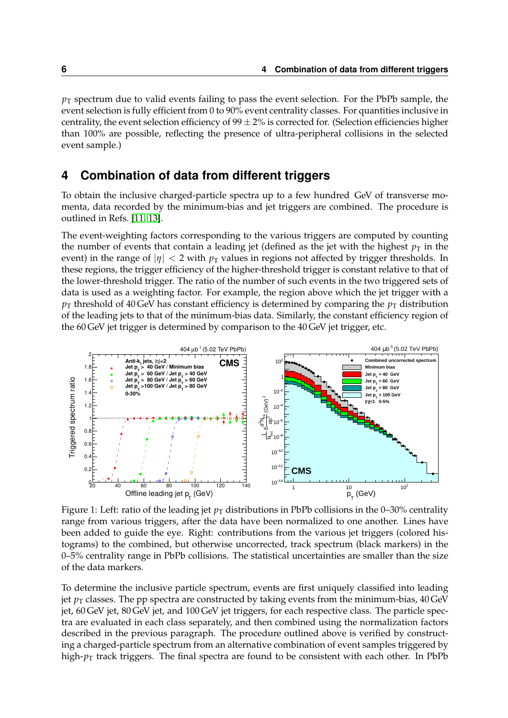$p<sub>T</sub>$  spectrum due to valid events failing to pass the event selection. For the PbPb sample, the event selection is fully efficient from 0 to 90% event centrality classes. For quantities inclusive in centrality, the event selection efficiency of  $99 \pm 2\%$  is corrected for. (Selection efficiencies higher than 100% are possible, reflecting the presence of ultra-peripheral collisions in the selected event sample.)

# **4 Combination of data from different triggers**

To obtain the inclusive charged-particle spectra up to a few hundred GeV of transverse momenta, data recorded by the minimum-bias and jet triggers are combined. The procedure is outlined in Refs. [\[11,](#page-18-7) [13\]](#page-18-10).

The event-weighting factors corresponding to the various triggers are computed by counting the number of events that contain a leading jet (defined as the jet with the highest  $p<sub>T</sub>$  in the event) in the range of  $|\eta| < 2$  with  $p<sub>T</sub>$  values in regions not affected by trigger thresholds. In these regions, the trigger efficiency of the higher-threshold trigger is constant relative to that of the lower-threshold trigger. The ratio of the number of such events in the two triggered sets of data is used as a weighting factor. For example, the region above which the jet trigger with a  $p<sub>T</sub>$  threshold of 40 GeV has constant efficiency is determined by comparing the  $p<sub>T</sub>$  distribution of the leading jets to that of the minimum-bias data. Similarly, the constant efficiency region of the 60 GeV jet trigger is determined by comparison to the 40 GeV jet trigger, etc.

<span id="page-7-0"></span>

Figure 1: Left: ratio of the leading jet  $p<sub>T</sub>$  distributions in PbPb collisions in the 0–30% centrality range from various triggers, after the data have been normalized to one another. Lines have been added to guide the eye. Right: contributions from the various jet triggers (colored histograms) to the combined, but otherwise uncorrected, track spectrum (black markers) in the 0–5% centrality range in PbPb collisions. The statistical uncertainties are smaller than the size of the data markers.

To determine the inclusive particle spectrum, events are first uniquely classified into leading jet  $p_T$  classes. The pp spectra are constructed by taking events from the minimum-bias,  $40 \text{ GeV}$ jet, 60 GeV jet, 80 GeV jet, and 100 GeV jet triggers, for each respective class. The particle spectra are evaluated in each class separately, and then combined using the normalization factors described in the previous paragraph. The procedure outlined above is verified by constructing a charged-particle spectrum from an alternative combination of event samples triggered by high- $p_T$  track triggers. The final spectra are found to be consistent with each other. In PbPb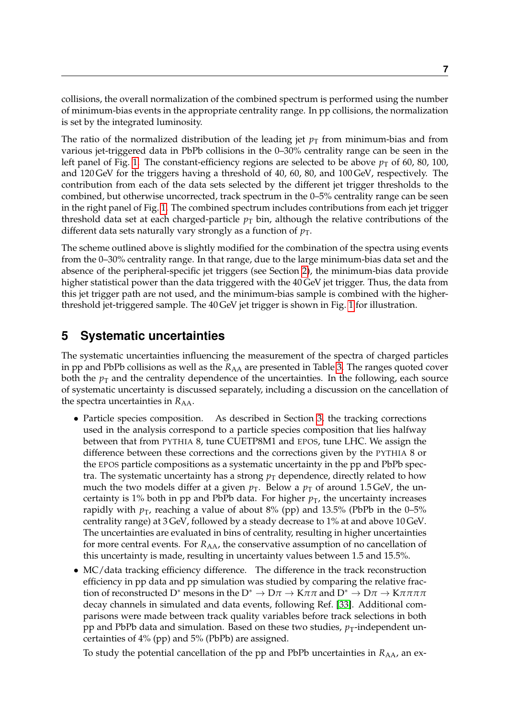collisions, the overall normalization of the combined spectrum is performed using the number of minimum-bias events in the appropriate centrality range. In pp collisions, the normalization is set by the integrated luminosity.

The ratio of the normalized distribution of the leading jet  $p<sub>T</sub>$  from minimum-bias and from various jet-triggered data in PbPb collisions in the 0–30% centrality range can be seen in the left panel of Fig. [1.](#page-7-0) The constant-efficiency regions are selected to be above  $p_T$  of 60, 80, 100, and 120 GeV for the triggers having a threshold of 40, 60, 80, and 100 GeV, respectively. The contribution from each of the data sets selected by the different jet trigger thresholds to the combined, but otherwise uncorrected, track spectrum in the 0–5% centrality range can be seen in the right panel of Fig. [1.](#page-7-0) The combined spectrum includes contributions from each jet trigger threshold data set at each charged-particle  $p<sub>T</sub>$  bin, although the relative contributions of the different data sets naturally vary strongly as a function of  $p_T$ .

The scheme outlined above is slightly modified for the combination of the spectra using events from the 0–30% centrality range. In that range, due to the large minimum-bias data set and the absence of the peripheral-specific jet triggers (see Section [2\)](#page-3-0), the minimum-bias data provide higher statistical power than the data triggered with the 40 GeV jet trigger. Thus, the data from this jet trigger path are not used, and the minimum-bias sample is combined with the higherthreshold jet-triggered sample. The 40 GeV jet trigger is shown in Fig. [1](#page-7-0) for illustration.

# <span id="page-8-0"></span>**5 Systematic uncertainties**

The systematic uncertainties influencing the measurement of the spectra of charged particles in pp and PbPb collisions as well as the  $R_{AA}$  are presented in Table [3.](#page-9-0) The ranges quoted cover both the  $p_T$  and the centrality dependence of the uncertainties. In the following, each source of systematic uncertainty is discussed separately, including a discussion on the cancellation of the spectra uncertainties in  $R_{AA}$ .

- Particle species composition. As described in Section [3,](#page-5-0) the tracking corrections used in the analysis correspond to a particle species composition that lies halfway between that from PYTHIA 8, tune CUETP8M1 and EPOS, tune LHC. We assign the difference between these corrections and the corrections given by the PYTHIA 8 or the EPOS particle compositions as a systematic uncertainty in the pp and PbPb spectra. The systematic uncertainty has a strong  $p<sub>T</sub>$  dependence, directly related to how much the two models differ at a given  $p<sub>T</sub>$ . Below a  $p<sub>T</sub>$  of around 1.5 GeV, the uncertainty is 1% both in pp and PbPb data. For higher  $p<sub>T</sub>$ , the uncertainty increases rapidly with  $p_T$ , reaching a value of about 8% (pp) and 13.5% (PbPb in the 0–5% centrality range) at 3 GeV, followed by a steady decrease to 1% at and above 10 GeV. The uncertainties are evaluated in bins of centrality, resulting in higher uncertainties for more central events. For  $R_{AA}$ , the conservative assumption of no cancellation of this uncertainty is made, resulting in uncertainty values between 1.5 and 15.5%.
- MC/data tracking efficiency difference. The difference in the track reconstruction efficiency in pp data and pp simulation was studied by comparing the relative fraction of reconstructed D<sup>∗</sup> mesons in the D<sup>∗</sup> → D*π* → K*ππ* and D<sup>∗</sup> → D*π* → K*ππππ* decay channels in simulated and data events, following Ref. [\[33\]](#page-20-4). Additional comparisons were made between track quality variables before track selections in both pp and PbPb data and simulation. Based on these two studies,  $p_T$ -independent uncertainties of 4% (pp) and 5% (PbPb) are assigned.

To study the potential cancellation of the pp and PbPb uncertainties in  $R_{AA}$ , an ex-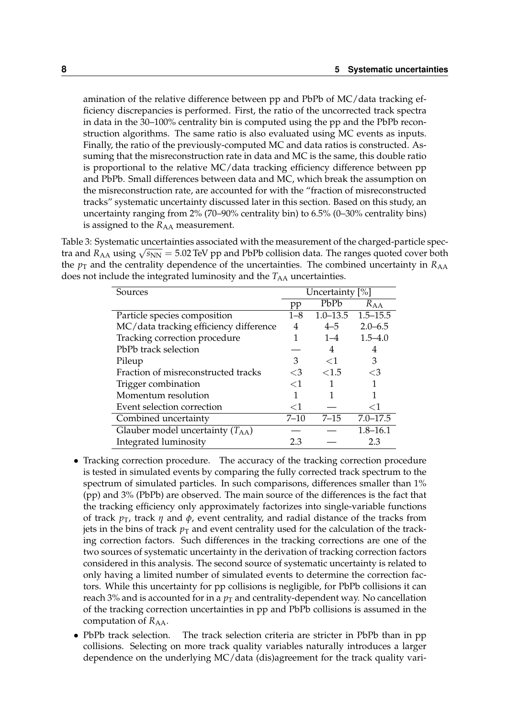amination of the relative difference between pp and PbPb of MC/data tracking efficiency discrepancies is performed. First, the ratio of the uncorrected track spectra in data in the 30–100% centrality bin is computed using the pp and the PbPb reconstruction algorithms. The same ratio is also evaluated using MC events as inputs. Finally, the ratio of the previously-computed MC and data ratios is constructed. Assuming that the misreconstruction rate in data and MC is the same, this double ratio is proportional to the relative MC/data tracking efficiency difference between pp and PbPb. Small differences between data and MC, which break the assumption on the misreconstruction rate, are accounted for with the "fraction of misreconstructed tracks" systematic uncertainty discussed later in this section. Based on this study, an uncertainty ranging from 2% (70–90% centrality bin) to 6.5% (0–30% centrality bins) is assigned to the  $R_{AA}$  measurement.

<span id="page-9-0"></span>Table 3: Systematic uncertainties associated with the measurement of the charged-particle specrable 5: systematic uncertainties associated with the measurement of the charged-particle spectra and  $R_{AA}$  using  $\sqrt{s_{NN}} = 5.02$  TeV pp and PbPb collision data. The ranges quoted cover both the  $p_T$  and the centrality dependence of the uncertainties. The combined uncertainty in  $R_{AA}$ does not include the integrated luminosity and the *T*<sub>AA</sub> uncertainties.

| Sources                                | Uncertainty [%] |              |              |
|----------------------------------------|-----------------|--------------|--------------|
|                                        | pp              | PbPb         | $R_{AA}$     |
| Particle species composition           | $1 - 8$         | $1.0 - 13.5$ | $1.5 - 15.5$ |
| MC/data tracking efficiency difference |                 | $4 - 5$      | $2.0 - 6.5$  |
| Tracking correction procedure          |                 | $1 - 4$      | $1.5 - 4.0$  |
| PbPb track selection                   |                 | 4            | 4            |
| Pileup                                 | 3               | $\leq$ 1     | 3            |
| Fraction of misreconstructed tracks    |                 | < 1.5        | $\leq$ 3     |
| Trigger combination                    | $<$ 1           |              |              |
| Momentum resolution                    |                 |              |              |
| Event selection correction             | $<$ 1           |              | $<$ 1        |
| Combined uncertainty                   | $7 - 10$        | $7 - 15$     | $7.0 - 17.5$ |
| Glauber model uncertainty $(T_{AA})$   |                 |              | $1.8 - 16.1$ |
| Integrated luminosity                  |                 |              | 2.3          |

- Tracking correction procedure. The accuracy of the tracking correction procedure is tested in simulated events by comparing the fully corrected track spectrum to the spectrum of simulated particles. In such comparisons, differences smaller than 1% (pp) and 3% (PbPb) are observed. The main source of the differences is the fact that the tracking efficiency only approximately factorizes into single-variable functions of track  $p_T$ , track  $\eta$  and  $\phi$ , event centrality, and radial distance of the tracks from jets in the bins of track  $p<sub>T</sub>$  and event centrality used for the calculation of the tracking correction factors. Such differences in the tracking corrections are one of the two sources of systematic uncertainty in the derivation of tracking correction factors considered in this analysis. The second source of systematic uncertainty is related to only having a limited number of simulated events to determine the correction factors. While this uncertainty for pp collisions is negligible, for PbPb collisions it can reach 3% and is accounted for in a  $p<sub>T</sub>$  and centrality-dependent way. No cancellation of the tracking correction uncertainties in pp and PbPb collisions is assumed in the computation of  $R_{AA}$ .
- PbPb track selection. The track selection criteria are stricter in PbPb than in pp collisions. Selecting on more track quality variables naturally introduces a larger dependence on the underlying MC/data (dis)agreement for the track quality vari-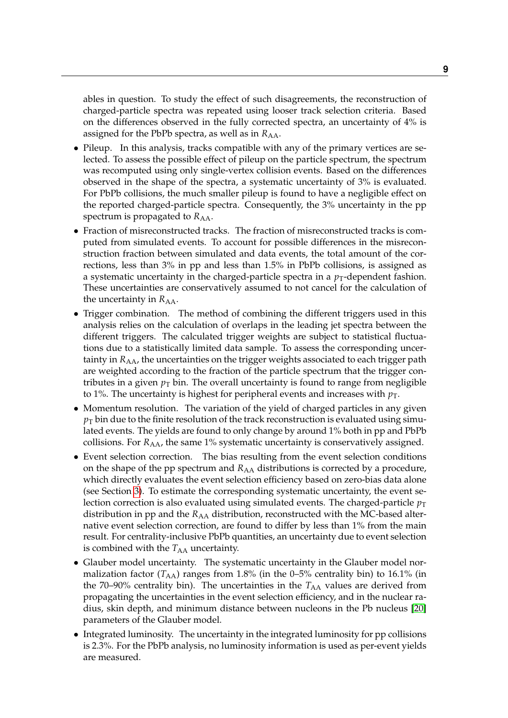ables in question. To study the effect of such disagreements, the reconstruction of charged-particle spectra was repeated using looser track selection criteria. Based on the differences observed in the fully corrected spectra, an uncertainty of 4% is assigned for the PbPb spectra, as well as in  $R_{AA}$ .

- Pileup. In this analysis, tracks compatible with any of the primary vertices are selected. To assess the possible effect of pileup on the particle spectrum, the spectrum was recomputed using only single-vertex collision events. Based on the differences observed in the shape of the spectra, a systematic uncertainty of 3% is evaluated. For PbPb collisions, the much smaller pileup is found to have a negligible effect on the reported charged-particle spectra. Consequently, the 3% uncertainty in the pp spectrum is propagated to  $R_{AA}$ .
- Fraction of misreconstructed tracks. The fraction of misreconstructed tracks is computed from simulated events. To account for possible differences in the misreconstruction fraction between simulated and data events, the total amount of the corrections, less than 3% in pp and less than 1.5% in PbPb collisions, is assigned as a systematic uncertainty in the charged-particle spectra in a  $p<sub>T</sub>$ -dependent fashion. These uncertainties are conservatively assumed to not cancel for the calculation of the uncertainty in  $R_{AA}$ .
- Trigger combination. The method of combining the different triggers used in this analysis relies on the calculation of overlaps in the leading jet spectra between the different triggers. The calculated trigger weights are subject to statistical fluctuations due to a statistically limited data sample. To assess the corresponding uncertainty in  $R_{AA}$ , the uncertainties on the trigger weights associated to each trigger path are weighted according to the fraction of the particle spectrum that the trigger contributes in a given  $p<sub>T</sub>$  bin. The overall uncertainty is found to range from negligible to 1%. The uncertainty is highest for peripheral events and increases with  $p<sub>T</sub>$ .
- Momentum resolution. The variation of the yield of charged particles in any given  $p<sub>T</sub>$  bin due to the finite resolution of the track reconstruction is evaluated using simulated events. The yields are found to only change by around 1% both in pp and PbPb collisions. For *R<sub>AA</sub>*, the same 1% systematic uncertainty is conservatively assigned.
- Event selection correction. The bias resulting from the event selection conditions on the shape of the pp spectrum and  $R_{AA}$  distributions is corrected by a procedure, which directly evaluates the event selection efficiency based on zero-bias data alone (see Section [3\)](#page-5-0). To estimate the corresponding systematic uncertainty, the event selection correction is also evaluated using simulated events. The charged-particle  $p_T$ distribution in pp and the  $R_{AA}$  distribution, reconstructed with the MC-based alternative event selection correction, are found to differ by less than 1% from the main result. For centrality-inclusive PbPb quantities, an uncertainty due to event selection is combined with the  $T_{AA}$  uncertainty.
- Glauber model uncertainty. The systematic uncertainty in the Glauber model normalization factor  $(T_{AA})$  ranges from 1.8% (in the 0–5% centrality bin) to 16.1% (in the 70–90% centrality bin). The uncertainties in the  $T_{AA}$  values are derived from propagating the uncertainties in the event selection efficiency, and in the nuclear radius, skin depth, and minimum distance between nucleons in the Pb nucleus [\[20\]](#page-19-6) parameters of the Glauber model.
- Integrated luminosity. The uncertainty in the integrated luminosity for pp collisions is 2.3%. For the PbPb analysis, no luminosity information is used as per-event yields are measured.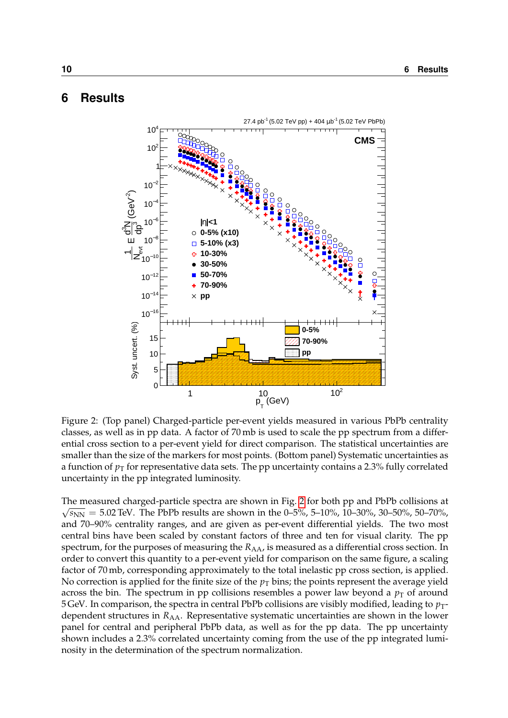# <span id="page-11-0"></span>**6 Results**



Figure 2: (Top panel) Charged-particle per-event yields measured in various PbPb centrality classes, as well as in pp data. A factor of 70 mb is used to scale the pp spectrum from a differential cross section to a per-event yield for direct comparison. The statistical uncertainties are smaller than the size of the markers for most points. (Bottom panel) Systematic uncertainties as a function of  $p<sub>T</sub>$  for representative data sets. The pp uncertainty contains a 2.3% fully correlated uncertainty in the pp integrated luminosity.

The measured charged-particle spectra are shown in Fig. [2](#page-11-0) for both pp and PbPb collisions at  $\sqrt{s_{NN}}$  = 5.02 TeV. The PbPb results are shown in the 0–5%, 5–10%, 10–30%, 30–50%, 50–70%, and 70–90% centrality ranges, and are given as per-event differential yields. The two most central bins have been scaled by constant factors of three and ten for visual clarity. The pp spectrum, for the purposes of measuring the  $R_{AA}$ , is measured as a differential cross section. In order to convert this quantity to a per-event yield for comparison on the same figure, a scaling factor of 70 mb, corresponding approximately to the total inelastic pp cross section, is applied. No correction is applied for the finite size of the  $p<sub>T</sub>$  bins; the points represent the average yield across the bin. The spectrum in pp collisions resembles a power law beyond a  $p<sub>T</sub>$  of around 5 GeV. In comparison, the spectra in central PbPb collisions are visibly modified, leading to  $p_T$ dependent structures in *R*AA. Representative systematic uncertainties are shown in the lower panel for central and peripheral PbPb data, as well as for the pp data. The pp uncertainty shown includes a 2.3% correlated uncertainty coming from the use of the pp integrated luminosity in the determination of the spectrum normalization.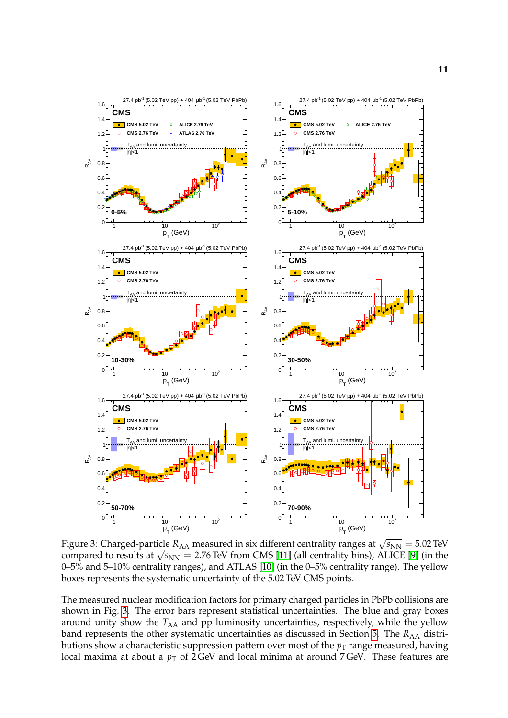<span id="page-12-0"></span>

Figure 3: Charged-particle  $R_{AA}$  measured in six different centrality ranges at  $\sqrt{s_{NN}} = 5.02$  TeV *Figure 5:* Charged-particle  $K_{AA}$  measured in six different centrality ranges at  $\sqrt{s_{NN}} = 5.02$  TeV compared to results at  $\sqrt{s_{NN}} = 2.76$  TeV from CMS [\[11\]](#page-18-7) (all centrality bins), ALICE [\[9\]](#page-18-6) (in the 0–5% and 5–10% centrality ranges), and ATLAS [\[10\]](#page-18-9) (in the 0–5% centrality range). The yellow boxes represents the systematic uncertainty of the 5.02 TeV CMS points.

The measured nuclear modification factors for primary charged particles in PbPb collisions are shown in Fig. [3.](#page-12-0) The error bars represent statistical uncertainties. The blue and gray boxes around unity show the  $T<sub>AA</sub>$  and pp luminosity uncertainties, respectively, while the yellow band represents the other systematic uncertainties as discussed in Section [5.](#page-8-0) The *R*<sub>AA</sub> distributions show a characteristic suppression pattern over most of the  $p<sub>T</sub>$  range measured, having local maxima at about a  $p<sub>T</sub>$  of 2 GeV and local minima at around 7 GeV. These features are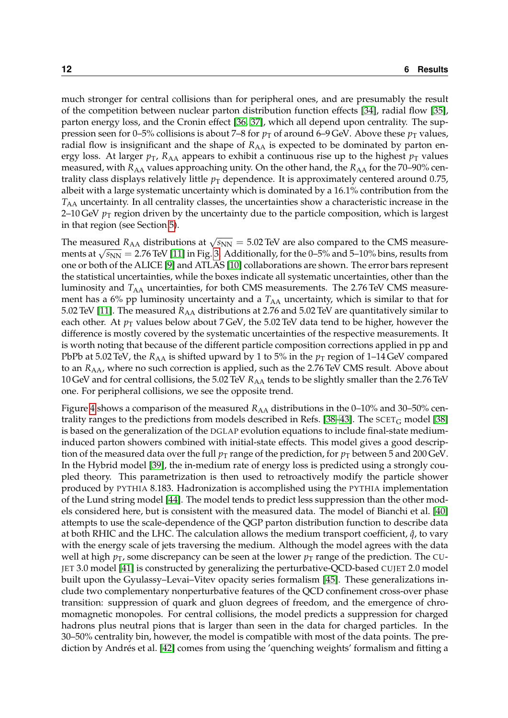much stronger for central collisions than for peripheral ones, and are presumably the result of the competition between nuclear parton distribution function effects [\[34\]](#page-20-5), radial flow [\[35\]](#page-20-6), parton energy loss, and the Cronin effect [\[36,](#page-20-7) [37\]](#page-20-8), which all depend upon centrality. The suppression seen for 0–5% collisions is about 7–8 for  $p<sub>T</sub>$  of around 6–9 GeV. Above these  $p<sub>T</sub>$  values, radial flow is insignificant and the shape of  $R_{AA}$  is expected to be dominated by parton energy loss. At larger  $p_T$ ,  $R_{AA}$  appears to exhibit a continuous rise up to the highest  $p_T$  values measured, with *R*<sub>AA</sub> values approaching unity. On the other hand, the *R*<sub>AA</sub> for the 70–90% centrality class displays relatively little  $p_T$  dependence. It is approximately centered around 0.75, albeit with a large systematic uncertainty which is dominated by a 16.1% contribution from the *T*<sub>AA</sub> uncertainty. In all centrality classes, the uncertainties show a characteristic increase in the 2–10 GeV  $p_T$  region driven by the uncertainty due to the particle composition, which is largest in that region (see Section [5\)](#page-8-0).

The measured  $R_{AA}$  distributions at  $\sqrt{s_{NN}} = 5.02$  TeV are also compared to the CMS measure-The measured  $K_{AA}$  distributions at  $\sqrt{s_{NN}} = 3.02$  $\sqrt{s_{NN}} = 3.02$  $\sqrt{s_{NN}} = 3.02$  TeV are also compared to the CMS measure-<br>ments at  $\sqrt{s_{NN}} = 2.76$  TeV [\[11\]](#page-18-7) in Fig. 3. Additionally, for the 0–5% and 5–10% bins, results from one or both of the ALICE [\[9\]](#page-18-6) and ATLAS [\[10\]](#page-18-9) collaborations are shown. The error bars represent the statistical uncertainties, while the boxes indicate all systematic uncertainties, other than the luminosity and *T*<sub>AA</sub> uncertainties, for both CMS measurements. The 2.76 TeV CMS measurement has a  $6\%$  pp luminosity uncertainty and a  $T<sub>AA</sub>$  uncertainty, which is similar to that for 5.02 TeV [\[11\]](#page-18-7). The measured  $R_{AA}$  distributions at 2.76 and 5.02 TeV are quantitatively similar to each other. At  $p_T$  values below about 7 GeV, the 5.02 TeV data tend to be higher, however the difference is mostly covered by the systematic uncertainties of the respective measurements. It is worth noting that because of the different particle composition corrections applied in pp and PbPb at 5.02 TeV, the  $R_{AA}$  is shifted upward by 1 to 5% in the  $p_T$  region of 1–14 GeV compared to an *R<sub>AA</sub>*, where no such correction is applied, such as the 2.76 TeV CMS result. Above about 10 GeV and for central collisions, the 5.02 TeV  $R_{AA}$  tends to be slightly smaller than the 2.76 TeV one. For peripheral collisions, we see the opposite trend.

Figure [4](#page-14-0) shows a comparison of the measured  $R_{AA}$  distributions in the 0–10% and 30–50% cen-trality ranges to the predictions from models described in Refs. [\[38–](#page-20-9)[43\]](#page-20-10). The  $SCET_G$  model [\[38\]](#page-20-9) is based on the generalization of the DGLAP evolution equations to include final-state mediuminduced parton showers combined with initial-state effects. This model gives a good description of the measured data over the full  $p_T$  range of the prediction, for  $p_T$  between 5 and 200 GeV. In the Hybrid model [\[39\]](#page-20-11), the in-medium rate of energy loss is predicted using a strongly coupled theory. This parametrization is then used to retroactively modify the particle shower produced by PYTHIA 8.183. Hadronization is accomplished using the PYTHIA implementation of the Lund string model [\[44\]](#page-21-0). The model tends to predict less suppression than the other models considered here, but is consistent with the measured data. The model of Bianchi et al. [\[40\]](#page-20-12) attempts to use the scale-dependence of the QGP parton distribution function to describe data at both RHIC and the LHC. The calculation allows the medium transport coefficient,  $\hat{q}$ , to vary with the energy scale of jets traversing the medium. Although the model agrees with the data well at high  $p<sub>T</sub>$ , some discrepancy can be seen at the lower  $p<sub>T</sub>$  range of the prediction. The CU-JET 3.0 model [\[41\]](#page-20-13) is constructed by generalizing the perturbative-QCD-based CUJET 2.0 model built upon the Gyulassy–Levai–Vitev opacity series formalism [\[45\]](#page-21-1). These generalizations include two complementary nonperturbative features of the QCD confinement cross-over phase transition: suppression of quark and gluon degrees of freedom, and the emergence of chromomagnetic monopoles. For central collisions, the model predicts a suppression for charged hadrons plus neutral pions that is larger than seen in the data for charged particles. In the 30–50% centrality bin, however, the model is compatible with most of the data points. The pre-diction by Andrés et al. [\[42\]](#page-20-14) comes from using the 'quenching weights' formalism and fitting a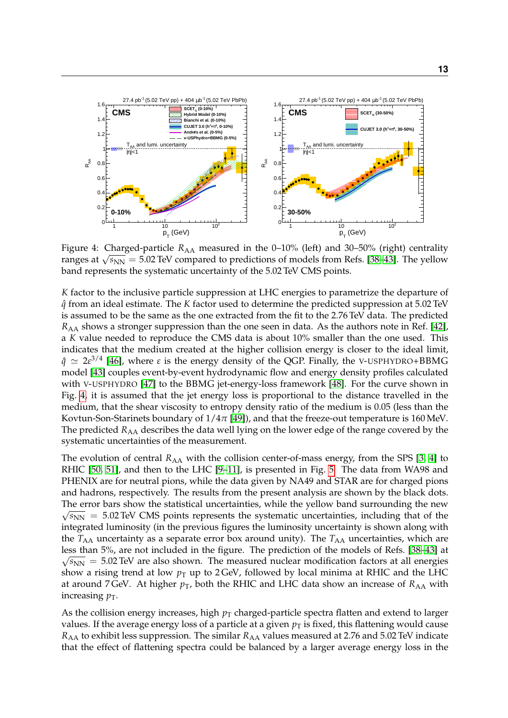<span id="page-14-0"></span>

Figure 4: Charged-particle  $R_{AA}$  measured in the 0–10% (left) and 30–50% (right) centrality rigure 4: Charged-particle K<sub>AA</sub> measured in the 0–10% (left) and 50–50% (right) centrality<br>ranges at  $\sqrt{s_{NN}}$  = 5.02 TeV compared to predictions of models from Refs. [\[38–](#page-20-9)[43\]](#page-20-10). The yellow band represents the systematic uncertainty of the 5.02 TeV CMS points.

*K* factor to the inclusive particle suppression at LHC energies to parametrize the departure of *q*ˆ from an ideal estimate. The *K* factor used to determine the predicted suppression at 5.02 TeV is assumed to be the same as the one extracted from the fit to the 2.76 TeV data. The predicted *R*AA shows a stronger suppression than the one seen in data. As the authors note in Ref. [\[42\]](#page-20-14), a *K* value needed to reproduce the CMS data is about 10% smaller than the one used. This indicates that the medium created at the higher collision energy is closer to the ideal limit,  $\hat{q}$   $\simeq$  2 $\varepsilon^{3/4}$  [\[46\]](#page-21-2), where  $\varepsilon$  is the energy density of the QGP. Finally, the V-USPHYDRO+BBMG model [\[43\]](#page-20-10) couples event-by-event hydrodynamic flow and energy density profiles calculated with V-USPHYDRO [\[47\]](#page-21-3) to the BBMG jet-energy-loss framework [\[48\]](#page-21-4). For the curve shown in Fig. [4,](#page-14-0) it is assumed that the jet energy loss is proportional to the distance travelled in the medium, that the shear viscosity to entropy density ratio of the medium is 0.05 (less than the Kovtun-Son-Starinets boundary of 1/4*π* [\[49\]](#page-21-5)), and that the freeze-out temperature is 160 MeV. The predicted  $R_{AA}$  describes the data well lying on the lower edge of the range covered by the systematic uncertainties of the measurement.

The evolution of central  $R_{AA}$  with the collision center-of-mass energy, from the SPS [\[3,](#page-18-2) [4\]](#page-18-3) to RHIC [\[50,](#page-21-6) [51\]](#page-21-7), and then to the LHC [\[9](#page-18-6)[–11\]](#page-18-7), is presented in Fig. [5.](#page-15-0) The data from WA98 and PHENIX are for neutral pions, while the data given by NA49 and STAR are for charged pions and hadrons, respectively. The results from the present analysis are shown by the black dots. The error bars show the statistical uncertainties, while the yellow band surrounding the new  $\sqrt{s_{NN}}$  = 5.02 TeV CMS points represents the systematic uncertainties, including that of the integrated luminosity (in the previous figures the luminosity uncertainty is shown along with the  $T_{AA}$  uncertainty as a separate error box around unity). The  $T_{AA}$  uncertainties, which are less than 5%, are not included in the figure. The prediction of the models of Refs. [\[38](#page-20-9)[–43\]](#page-20-10) at  $\sqrt{s_{NN}}$  = 5.02 TeV are also shown. The measured nuclear modification factors at all energies show a rising trend at low  $p<sub>T</sub>$  up to 2 GeV, followed by local minima at RHIC and the LHC at around 7 GeV. At higher  $p_T$ , both the RHIC and LHC data show an increase of  $R_{AA}$  with increasing  $p_T$ .

As the collision energy increases, high  $p<sub>T</sub>$  charged-particle spectra flatten and extend to larger values. If the average energy loss of a particle at a given  $p<sub>T</sub>$  is fixed, this flattening would cause *R*<sub>AA</sub> to exhibit less suppression. The similar *R*<sub>AA</sub> values measured at 2.76 and 5.02 TeV indicate that the effect of flattening spectra could be balanced by a larger average energy loss in the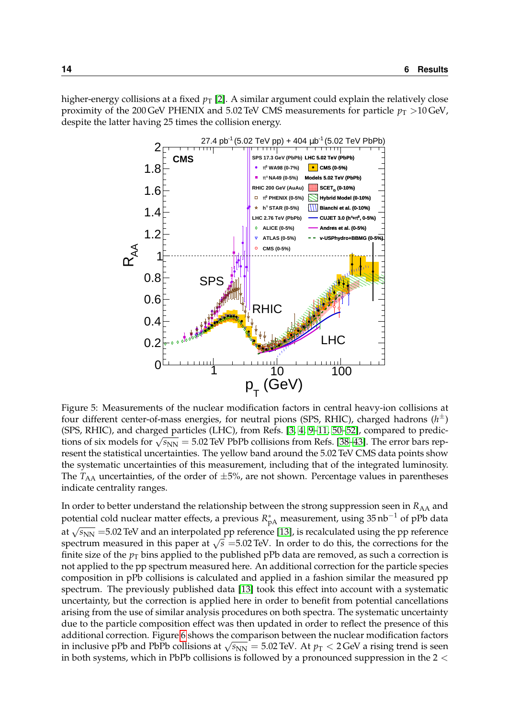<span id="page-15-0"></span>higher-energy collisions at a fixed  $p_T$  [\[2\]](#page-18-1). A similar argument could explain the relatively close proximity of the 200 GeV PHENIX and 5.02 TeV CMS measurements for particle  $p_T > 10$  GeV, despite the latter having 25 times the collision energy.



Figure 5: Measurements of the nuclear modification factors in central heavy-ion collisions at four different center-of-mass energies, for neutral pions (SPS, RHIC), charged hadrons (*h* ±) (SPS, RHIC), and charged particles (LHC), from Refs. [\[3,](#page-18-2) [4,](#page-18-3) [9](#page-18-6)[–11,](#page-18-7) [50–](#page-21-6)[52\]](#page-21-8), compared to predic- $(3r3, KHC)$ , and charged particles  $(LHC)$ , from Refs. [3, 4, 9–11, 30–32], compared to predictions of six models for  $\sqrt{s_{NN}} = 5.02$  TeV PbPb collisions from Refs. [\[38](#page-20-9)[–43\]](#page-20-10). The error bars represent the statistical uncertainties. The yellow band around the 5.02 TeV CMS data points show the systematic uncertainties of this measurement, including that of the integrated luminosity. The  $T_{AA}$  uncertainties, of the order of  $\pm 5%$ , are not shown. Percentage values in parentheses indicate centrality ranges.

In order to better understand the relationship between the strong suppression seen in  $R_{AA}$  and potential cold nuclear matter effects, a previous  $R_{\rm pA}^{*}$  measurement, using 35 nb $^{-1}$  of pPb data  $\frac{1}{\sqrt{s_{NN}}}$  =5.02 TeV and an interpolated pp reference [\[13\]](#page-18-10), is recalculated using the pp reference spectrum measured in this paper at <sup>√</sup> *s* =5.02 TeV. In order to do this, the corrections for the finite size of the  $p<sub>T</sub>$  bins applied to the published pPb data are removed, as such a correction is not applied to the pp spectrum measured here. An additional correction for the particle species composition in pPb collisions is calculated and applied in a fashion similar the measured pp spectrum. The previously published data [\[13\]](#page-18-10) took this effect into account with a systematic uncertainty, but the correction is applied here in order to benefit from potential cancellations arising from the use of similar analysis procedures on both spectra. The systematic uncertainty due to the particle composition effect was then updated in order to reflect the presence of this additional correction. Figure [6](#page-16-0) shows the comparison between the nuclear modification factors additional correction. Figure 6 shows the comparison between the nuclear modification factors in inclusive pPb and PbPb collisions at  $\sqrt{s_\mathrm{NN}} = 5.02$  TeV. At  $p_\mathrm{T} < 2$  GeV a rising trend is seen in both systems, which in PbPb collisions is followed by a pronounced suppression in the 2 <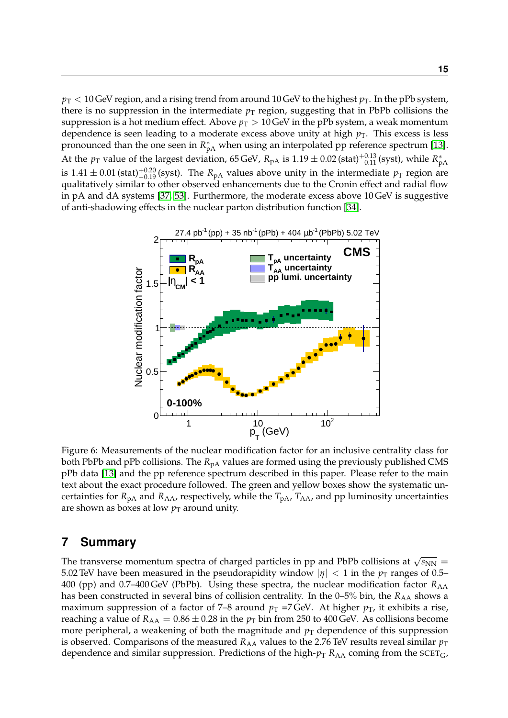$p_{\text{T}} < 10$  GeV region, and a rising trend from around 10 GeV to the highest  $p_{\text{T}}$ . In the pPb system, there is no suppression in the intermediate  $p<sub>T</sub>$  region, suggesting that in PbPb collisions the suppression is a hot medium effect. Above  $p<sub>T</sub> > 10$  GeV in the pPb system, a weak momentum dependence is seen leading to a moderate excess above unity at high  $p<sub>T</sub>$ . This excess is less pronounced than the one seen in  $R_{pA}^*$  when using an interpolated pp reference spectrum [\[13\]](#page-18-10). At the  $p_T$  value of the largest deviation, 65 GeV,  $R_{\rm pA}$  is 1.19  $\pm$  0.02 (stat)<sup>+0.13</sup> (syst), while  $R_{\rm pA}^*$ is 1.41  $\pm$  0.01 (stat)<sup>+0.20</sup> (syst). The *R*<sub>pA</sub> values above unity in the intermediate  $p_T$  region are qualitatively similar to other observed enhancements due to the Cronin effect and radial flow in pA and dA systems [\[37,](#page-20-8) [53\]](#page-21-9). Furthermore, the moderate excess above 10 GeV is suggestive of anti-shadowing effects in the nuclear parton distribution function [\[34\]](#page-20-5).

<span id="page-16-0"></span>

Figure 6: Measurements of the nuclear modification factor for an inclusive centrality class for both PbPb and pPb collisions. The  $R_{pA}$  values are formed using the previously published CMS pPb data [\[13\]](#page-18-10) and the pp reference spectrum described in this paper. Please refer to the main text about the exact procedure followed. The green and yellow boxes show the systematic uncertainties for  $R_{pA}$  and  $R_{AA}$ , respectively, while the  $T_{pA}$ ,  $T_{AA}$ , and pp luminosity uncertainties are shown as boxes at low  $p_T$  around unity.

# **7 Summary**

The transverse momentum spectra of charged particles in pp and PbPb collisions at  $\sqrt{s_{\rm NN}} =$ 5.02 TeV have been measured in the pseudorapidity window  $|\eta| < 1$  in the  $p_T$  ranges of 0.5– 400 (pp) and 0.7–400 GeV (PbPb). Using these spectra, the nuclear modification factor R<sub>AA</sub> has been constructed in several bins of collision centrality. In the  $0-5\%$  bin, the  $R_{AA}$  shows a maximum suppression of a factor of 7–8 around  $p_T = 7 \text{ GeV}$ . At higher  $p_T$ , it exhibits a rise, reaching a value of  $R_{AA} = 0.86 \pm 0.28$  in the  $p_T$  bin from 250 to 400 GeV. As collisions become more peripheral, a weakening of both the magnitude and  $p<sub>T</sub>$  dependence of this suppression is observed. Comparisons of the measured  $R_{AA}$  values to the 2.76 TeV results reveal similar  $p_T$ dependence and similar suppression. Predictions of the high- $p_T R_{AA}$  coming from the SCET<sub>G</sub>,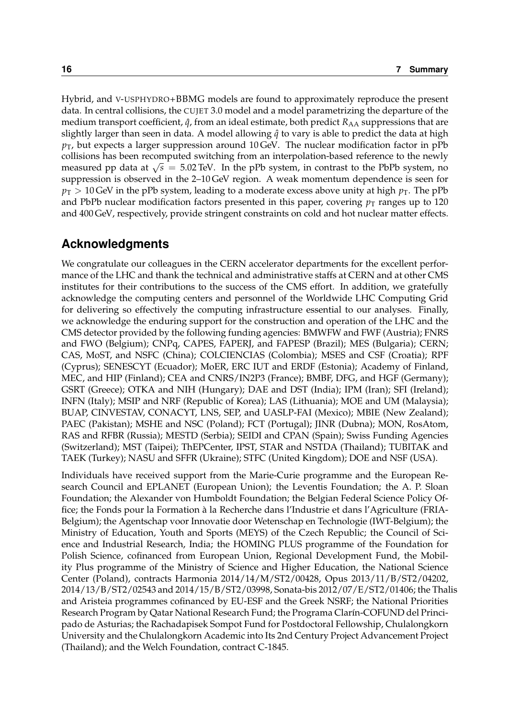Hybrid, and V-USPHYDRO+BBMG models are found to approximately reproduce the present data. In central collisions, the CUJET 3.0 model and a model parametrizing the departure of the medium transport coefficient,  $\hat{q}$ , from an ideal estimate, both predict  $R_{AA}$  suppressions that are slightly larger than seen in data. A model allowing *q*ˆ to vary is able to predict the data at high  $p<sub>T</sub>$ , but expects a larger suppression around 10 GeV. The nuclear modification factor in pPb collisions has been recomputed switching from an interpolation-based reference to the newly comsions has been recomputed switching from an interpolation-based reference to the newly<br>measured pp data at  $\sqrt{s} = 5.02$  TeV. In the pPb system, in contrast to the PbPb system, no suppression is observed in the 2–10 GeV region. A weak momentum dependence is seen for  $p_{\rm T} > 10$  GeV in the pPb system, leading to a moderate excess above unity at high  $p_{\rm T}$ . The pPb and PbPb nuclear modification factors presented in this paper, covering  $p<sub>T</sub>$  ranges up to 120 and 400 GeV, respectively, provide stringent constraints on cold and hot nuclear matter effects.

# **Acknowledgments**

We congratulate our colleagues in the CERN accelerator departments for the excellent performance of the LHC and thank the technical and administrative staffs at CERN and at other CMS institutes for their contributions to the success of the CMS effort. In addition, we gratefully acknowledge the computing centers and personnel of the Worldwide LHC Computing Grid for delivering so effectively the computing infrastructure essential to our analyses. Finally, we acknowledge the enduring support for the construction and operation of the LHC and the CMS detector provided by the following funding agencies: BMWFW and FWF (Austria); FNRS and FWO (Belgium); CNPq, CAPES, FAPERJ, and FAPESP (Brazil); MES (Bulgaria); CERN; CAS, MoST, and NSFC (China); COLCIENCIAS (Colombia); MSES and CSF (Croatia); RPF (Cyprus); SENESCYT (Ecuador); MoER, ERC IUT and ERDF (Estonia); Academy of Finland, MEC, and HIP (Finland); CEA and CNRS/IN2P3 (France); BMBF, DFG, and HGF (Germany); GSRT (Greece); OTKA and NIH (Hungary); DAE and DST (India); IPM (Iran); SFI (Ireland); INFN (Italy); MSIP and NRF (Republic of Korea); LAS (Lithuania); MOE and UM (Malaysia); BUAP, CINVESTAV, CONACYT, LNS, SEP, and UASLP-FAI (Mexico); MBIE (New Zealand); PAEC (Pakistan); MSHE and NSC (Poland); FCT (Portugal); JINR (Dubna); MON, RosAtom, RAS and RFBR (Russia); MESTD (Serbia); SEIDI and CPAN (Spain); Swiss Funding Agencies (Switzerland); MST (Taipei); ThEPCenter, IPST, STAR and NSTDA (Thailand); TUBITAK and TAEK (Turkey); NASU and SFFR (Ukraine); STFC (United Kingdom); DOE and NSF (USA).

Individuals have received support from the Marie-Curie programme and the European Research Council and EPLANET (European Union); the Leventis Foundation; the A. P. Sloan Foundation; the Alexander von Humboldt Foundation; the Belgian Federal Science Policy Office; the Fonds pour la Formation a la Recherche dans l'Industrie et dans l'Agriculture (FRIA- ` Belgium); the Agentschap voor Innovatie door Wetenschap en Technologie (IWT-Belgium); the Ministry of Education, Youth and Sports (MEYS) of the Czech Republic; the Council of Science and Industrial Research, India; the HOMING PLUS programme of the Foundation for Polish Science, cofinanced from European Union, Regional Development Fund, the Mobility Plus programme of the Ministry of Science and Higher Education, the National Science Center (Poland), contracts Harmonia 2014/14/M/ST2/00428, Opus 2013/11/B/ST2/04202, 2014/13/B/ST2/02543 and 2014/15/B/ST2/03998, Sonata-bis 2012/07/E/ST2/01406; the Thalis and Aristeia programmes cofinanced by EU-ESF and the Greek NSRF; the National Priorities Research Program by Qatar National Research Fund; the Programa Clarín-COFUND del Principado de Asturias; the Rachadapisek Sompot Fund for Postdoctoral Fellowship, Chulalongkorn University and the Chulalongkorn Academic into Its 2nd Century Project Advancement Project (Thailand); and the Welch Foundation, contract C-1845.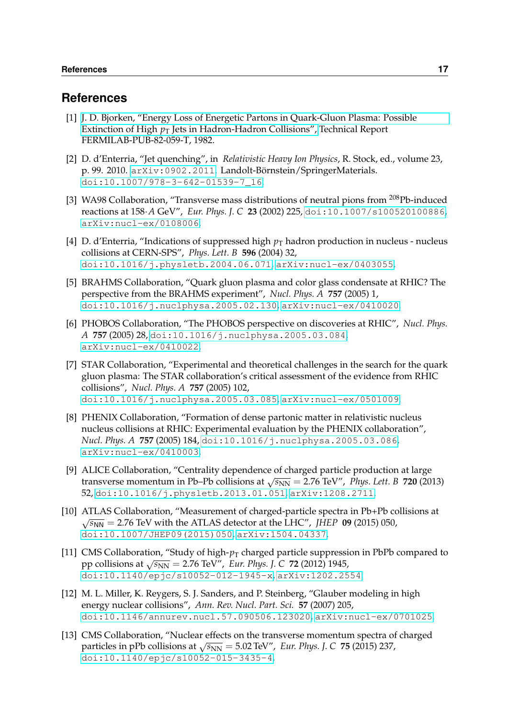# **References**

- <span id="page-18-0"></span>[1] [J. D. Bjorken, "Energy Loss of Energetic Partons in Quark-Gluon Plasma: Possible](http://lss.fnal.gov/archive/preprint/fermilab-pub-82-059-t.shtml) Extinction of High  $p_T$  [Jets in Hadron-Hadron Collisions",](http://lss.fnal.gov/archive/preprint/fermilab-pub-82-059-t.shtml) Technical Report FERMILAB-PUB-82-059-T, 1982.
- <span id="page-18-1"></span>[2] D. d'Enterria, "Jet quenching", in *Relativistic Heavy Ion Physics*, R. Stock, ed., volume 23, p. 99. 2010. [arXiv:0902.2011](http://www.arXiv.org/abs/0902.2011). Landolt-Börnstein/SpringerMaterials. [doi:10.1007/978-3-642-01539-7\\_16](http://dx.doi.org/10.1007/978-3-642-01539-7_16).
- <span id="page-18-2"></span>[3] WA98 Collaboration, "Transverse mass distributions of neutral pions from <sup>208</sup>Pb-induced reactions at 158·*A* GeV", *Eur. Phys. J. C* **23** (2002) 225, [doi:10.1007/s100520100886](http://dx.doi.org/10.1007/s100520100886), [arXiv:nucl-ex/0108006](http://www.arXiv.org/abs/nucl-ex/0108006).
- <span id="page-18-3"></span>[4] D. d'Enterria, "Indications of suppressed high  $p<sub>T</sub>$  hadron production in nucleus - nucleus collisions at CERN-SPS", *Phys. Lett. B* **596** (2004) 32, [doi:10.1016/j.physletb.2004.06.071](http://dx.doi.org/10.1016/j.physletb.2004.06.071), [arXiv:nucl-ex/0403055](http://www.arXiv.org/abs/nucl-ex/0403055).
- <span id="page-18-4"></span>[5] BRAHMS Collaboration, "Quark gluon plasma and color glass condensate at RHIC? The perspective from the BRAHMS experiment", *Nucl. Phys. A* **757** (2005) 1, [doi:10.1016/j.nuclphysa.2005.02.130](http://dx.doi.org/10.1016/j.nuclphysa.2005.02.130), [arXiv:nucl-ex/0410020](http://www.arXiv.org/abs/nucl-ex/0410020).
- [6] PHOBOS Collaboration, "The PHOBOS perspective on discoveries at RHIC", *Nucl. Phys. A* **757** (2005) 28, [doi:10.1016/j.nuclphysa.2005.03.084](http://dx.doi.org/10.1016/j.nuclphysa.2005.03.084), [arXiv:nucl-ex/0410022](http://www.arXiv.org/abs/nucl-ex/0410022).
- [7] STAR Collaboration, "Experimental and theoretical challenges in the search for the quark gluon plasma: The STAR collaboration's critical assessment of the evidence from RHIC collisions", *Nucl. Phys. A* **757** (2005) 102, [doi:10.1016/j.nuclphysa.2005.03.085](http://dx.doi.org/10.1016/j.nuclphysa.2005.03.085), [arXiv:nucl-ex/0501009](http://www.arXiv.org/abs/nucl-ex/0501009).
- <span id="page-18-5"></span>[8] PHENIX Collaboration, "Formation of dense partonic matter in relativistic nucleus nucleus collisions at RHIC: Experimental evaluation by the PHENIX collaboration", *Nucl. Phys. A* **757** (2005) 184, [doi:10.1016/j.nuclphysa.2005.03.086](http://dx.doi.org/10.1016/j.nuclphysa.2005.03.086), [arXiv:nucl-ex/0410003](http://www.arXiv.org/abs/nucl-ex/0410003).
- <span id="page-18-6"></span>[9] ALICE Collaboration, "Centrality dependence of charged particle production at large  $\pi$ EICE Conaboration, Centrality dependence of charged particle production at large transverse momentum in Pb–Pb collisions at  $\sqrt{s_{NN}}$  = 2.76 TeV", *Phys. Lett. B* 720 (2013) 52, [doi:10.1016/j.physletb.2013.01.051](http://dx.doi.org/10.1016/j.physletb.2013.01.051), [arXiv:1208.2711](http://www.arXiv.org/abs/1208.2711).
- <span id="page-18-9"></span>[10] ATLAS Collaboration, "Measurement of charged-particle spectra in Pb+Pb collisions at √  $\sqrt{s_{NN}}$  = 2.76 TeV with the ATLAS detector at the LHC", *JHEP* **09** (2015) 050, [doi:10.1007/JHEP09\(2015\)050](http://dx.doi.org/10.1007/JHEP09(2015)050), [arXiv:1504.04337](http://www.arXiv.org/abs/1504.04337).
- <span id="page-18-7"></span>[11] CMS Collaboration, "Study of high- $p<sub>T</sub>$  charged particle suppression in PbPb compared to  $\frac{1}{2}$  collisions at  $\sqrt{s_{NN}}$  = 2.76 TeV", *Eur. Phys. J. C* **72** (2012) 1945, [doi:10.1140/epjc/s10052-012-1945-x](http://dx.doi.org/10.1140/epjc/s10052-012-1945-x), [arXiv:1202.2554](http://www.arXiv.org/abs/1202.2554).
- <span id="page-18-8"></span>[12] M. L. Miller, K. Reygers, S. J. Sanders, and P. Steinberg, "Glauber modeling in high energy nuclear collisions", *Ann. Rev. Nucl. Part. Sci.* **57** (2007) 205, [doi:10.1146/annurev.nucl.57.090506.123020](http://dx.doi.org/10.1146/annurev.nucl.57.090506.123020), [arXiv:nucl-ex/0701025](http://www.arXiv.org/abs/nucl-ex/0701025).
- <span id="page-18-10"></span>[13] CMS Collaboration, "Nuclear effects on the transverse momentum spectra of charged  $\frac{1}{2}$  collaboration, Tyuclear effects on the transverse momentum spectra of particles in pPb collisions at  $\sqrt{s_{NN}} = 5.02$  TeV", *Eur. Phys. J. C* 75 (2015) 237, [doi:10.1140/epjc/s10052-015-3435-4](http://dx.doi.org/10.1140/epjc/s10052-015-3435-4).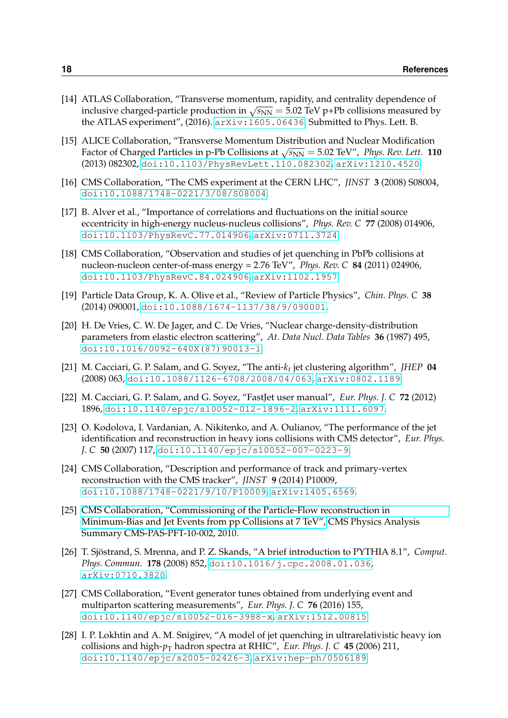- <span id="page-19-0"></span>[14] ATLAS Collaboration, "Transverse momentum, rapidity, and centrality dependence of ATLAS Conaboration, Transverse inomentum, rapidity, and centrality dependence of inclusive charged-particle production in  $\sqrt{s_{NN}} = 5.02$  TeV p+Pb collisions measured by the ATLAS experiment", (2016). [arXiv:1605.06436](http://www.arXiv.org/abs/1605.06436). Submitted to Phys. Lett. B.
- <span id="page-19-1"></span>[15] ALICE Collaboration, "Transverse Momentum Distribution and Nuclear Modification Factor of Charged Particles in p-Pb Collisions at  $\sqrt{s_{NN}} = 5.02$  TeV", *Phys. Rev. Lett.* **110** Factor of Charged Particles in p-Pb Collisions at  $\sqrt{s_{NN}} = 5.02$  TeV", *Phys. Rev. Lett.* **110** (2013) 082302, [doi:10.1103/PhysRevLett.110.082302](http://dx.doi.org/10.1103/PhysRevLett.110.082302), [arXiv:1210.4520](http://www.arXiv.org/abs/1210.4520).
- <span id="page-19-2"></span>[16] CMS Collaboration, "The CMS experiment at the CERN LHC", *JINST* **3** (2008) S08004, [doi:10.1088/1748-0221/3/08/S08004](http://dx.doi.org/10.1088/1748-0221/3/08/S08004).
- <span id="page-19-3"></span>[17] B. Alver et al., "Importance of correlations and fluctuations on the initial source eccentricity in high-energy nucleus-nucleus collisions", *Phys. Rev. C* **77** (2008) 014906, [doi:10.1103/PhysRevC.77.014906](http://dx.doi.org/10.1103/PhysRevC.77.014906), [arXiv:0711.3724](http://www.arXiv.org/abs/0711.3724).
- <span id="page-19-4"></span>[18] CMS Collaboration, "Observation and studies of jet quenching in PbPb collisions at nucleon-nucleon center-of-mass energy = 2.76 TeV", *Phys. Rev. C* **84** (2011) 024906, [doi:10.1103/PhysRevC.84.024906](http://dx.doi.org/10.1103/PhysRevC.84.024906), [arXiv:1102.1957](http://www.arXiv.org/abs/1102.1957).
- <span id="page-19-5"></span>[19] Particle Data Group, K. A. Olive et al., "Review of Particle Physics", *Chin. Phys. C* **38** (2014) 090001, [doi:10.1088/1674-1137/38/9/090001](http://dx.doi.org/10.1088/1674-1137/38/9/090001).
- <span id="page-19-6"></span>[20] H. De Vries, C. W. De Jager, and C. De Vries, "Nuclear charge-density-distribution parameters from elastic electron scattering", *At. Data Nucl. Data Tables* **36** (1987) 495, [doi:10.1016/0092-640X\(87\)90013-1](http://dx.doi.org/10.1016/0092-640X(87)90013-1).
- <span id="page-19-7"></span>[21] M. Cacciari, G. P. Salam, and G. Soyez, "The anti-*k<sup>t</sup>* jet clustering algorithm", *JHEP* **04** (2008) 063, [doi:10.1088/1126-6708/2008/04/063](http://dx.doi.org/10.1088/1126-6708/2008/04/063), [arXiv:0802.1189](http://www.arXiv.org/abs/0802.1189).
- <span id="page-19-8"></span>[22] M. Cacciari, G. P. Salam, and G. Soyez, "FastJet user manual", *Eur. Phys. J. C* **72** (2012) 1896, [doi:10.1140/epjc/s10052-012-1896-2](http://dx.doi.org/10.1140/epjc/s10052-012-1896-2), [arXiv:1111.6097](http://www.arXiv.org/abs/1111.6097).
- <span id="page-19-9"></span>[23] O. Kodolova, I. Vardanian, A. Nikitenko, and A. Oulianov, "The performance of the jet identification and reconstruction in heavy ions collisions with CMS detector", *Eur. Phys. J. C* **50** (2007) 117, [doi:10.1140/epjc/s10052-007-0223-9](http://dx.doi.org/10.1140/epjc/s10052-007-0223-9).
- <span id="page-19-10"></span>[24] CMS Collaboration, "Description and performance of track and primary-vertex reconstruction with the CMS tracker", *JINST* **9** (2014) P10009, [doi:10.1088/1748-0221/9/10/P10009](http://dx.doi.org/10.1088/1748-0221/9/10/P10009), [arXiv:1405.6569](http://www.arXiv.org/abs/1405.6569).
- <span id="page-19-11"></span>[25] [CMS Collaboration, "Commissioning of the Particle-Flow reconstruction in](https://cds.cern.ch/record/1279341) [Minimum-Bias and Jet Events from pp Collisions at 7 TeV",](https://cds.cern.ch/record/1279341) CMS Physics Analysis Summary CMS-PAS-PFT-10-002, 2010.
- <span id="page-19-12"></span>[26] T. Sjöstrand, S. Mrenna, and P. Z. Skands, "A brief introduction to PYTHIA 8.1", *Comput. Phys. Commun.* **178** (2008) 852, [doi:10.1016/j.cpc.2008.01.036](http://dx.doi.org/10.1016/j.cpc.2008.01.036), [arXiv:0710.3820](http://www.arXiv.org/abs/0710.3820).
- <span id="page-19-13"></span>[27] CMS Collaboration, "Event generator tunes obtained from underlying event and multiparton scattering measurements", *Eur. Phys. J. C* **76** (2016) 155, [doi:10.1140/epjc/s10052-016-3988-x](http://dx.doi.org/10.1140/epjc/s10052-016-3988-x), [arXiv:1512.00815](http://www.arXiv.org/abs/1512.00815).
- <span id="page-19-14"></span>[28] I. P. Lokhtin and A. M. Snigirev, "A model of jet quenching in ultrarelativistic heavy ion collisions and high-*p*<sup>T</sup> hadron spectra at RHIC", *Eur. Phys. J. C* **45** (2006) 211, [doi:10.1140/epjc/s2005-02426-3](http://dx.doi.org/10.1140/epjc/s2005-02426-3), [arXiv:hep-ph/0506189](http://www.arXiv.org/abs/hep-ph/0506189).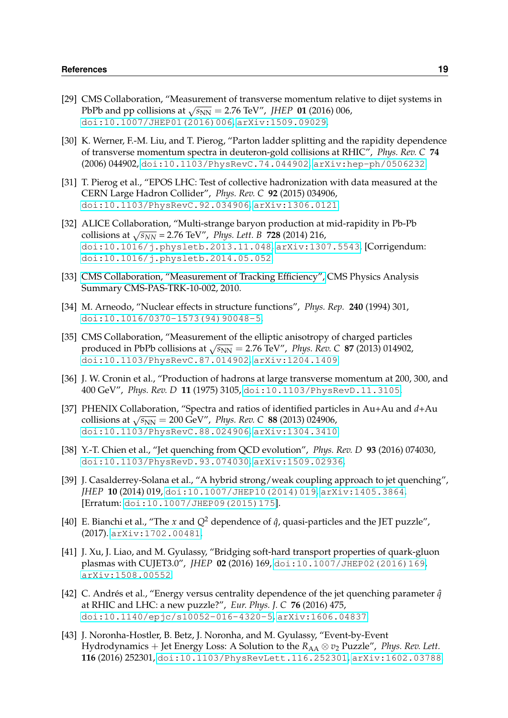- <span id="page-20-0"></span>[29] CMS Collaboration, "Measurement of transverse momentum relative to dijet systems in  $PbPb$  and pp collisions at  $\sqrt{s_{NN}}$  = 2.76 TeV", *JHEP* **01** (2016) 006, [doi:10.1007/JHEP01\(2016\)006](http://dx.doi.org/10.1007/JHEP01(2016)006), [arXiv:1509.09029](http://www.arXiv.org/abs/1509.09029).
- <span id="page-20-1"></span>[30] K. Werner, F.-M. Liu, and T. Pierog, "Parton ladder splitting and the rapidity dependence of transverse momentum spectra in deuteron-gold collisions at RHIC", *Phys. Rev. C* **74** (2006) 044902, [doi:10.1103/PhysRevC.74.044902](http://dx.doi.org/10.1103/PhysRevC.74.044902), [arXiv:hep-ph/0506232](http://www.arXiv.org/abs/hep-ph/0506232).
- <span id="page-20-2"></span>[31] T. Pierog et al., "EPOS LHC: Test of collective hadronization with data measured at the CERN Large Hadron Collider", *Phys. Rev. C* **92** (2015) 034906, [doi:10.1103/PhysRevC.92.034906](http://dx.doi.org/10.1103/PhysRevC.92.034906), [arXiv:1306.0121](http://www.arXiv.org/abs/1306.0121).
- <span id="page-20-3"></span>[32] ALICE Collaboration, "Multi-strange baryon production at mid-rapidity in Pb-Pb  $\epsilon$ Collisions at  $\sqrt{s_{NN}}$  = 2.76 TeV", *Phys. Lett. B* **728** (2014) 216, [doi:10.1016/j.physletb.2013.11.048](http://dx.doi.org/10.1016/j.physletb.2013.11.048), [arXiv:1307.5543](http://www.arXiv.org/abs/1307.5543). [Corrigendum: [doi:10.1016/j.physletb.2014.05.052](http://dx.doi.org/10.1016/j.physletb.2014.05.052).
- <span id="page-20-4"></span>[33] [CMS Collaboration, "Measurement of Tracking Efficiency",](https://cds.cern.ch/record/1279139) CMS Physics Analysis Summary CMS-PAS-TRK-10-002, 2010.
- <span id="page-20-5"></span>[34] M. Arneodo, "Nuclear effects in structure functions", *Phys. Rep.* **240** (1994) 301, [doi:10.1016/0370-1573\(94\)90048-5](http://dx.doi.org/10.1016/0370-1573(94)90048-5).
- <span id="page-20-6"></span>[35] CMS Collaboration, "Measurement of the elliptic anisotropy of charged particles  $\frac{1}{2}$  conabotation, we assume that the emptical ansolopy of charged particles produced in PbPb collisions at  $\sqrt{s_{NN}} = 2.76$  TeV", *Phys. Rev. C* 87 (2013) 014902, [doi:10.1103/PhysRevC.87.014902](http://dx.doi.org/10.1103/PhysRevC.87.014902), [arXiv:1204.1409](http://www.arXiv.org/abs/1204.1409).
- <span id="page-20-7"></span>[36] J. W. Cronin et al., "Production of hadrons at large transverse momentum at 200, 300, and 400 GeV", *Phys. Rev. D* **11** (1975) 3105, [doi:10.1103/PhysRevD.11.3105](http://dx.doi.org/10.1103/PhysRevD.11.3105).
- <span id="page-20-8"></span>[37] PHENIX Collaboration, "Spectra and ratios of identified particles in Au+Au and *d*+Au  $\frac{1}{\text{FINX}}$  Conaboration, Spectra and Tatios of identified particle collisions at  $\sqrt{s_{\text{NN}}}$  = 200 GeV", *Phys. Rev. C* **88** (2013) 024906, [doi:10.1103/PhysRevC.88.024906](http://dx.doi.org/10.1103/PhysRevC.88.024906), [arXiv:1304.3410](http://www.arXiv.org/abs/1304.3410).
- <span id="page-20-9"></span>[38] Y.-T. Chien et al., "Jet quenching from QCD evolution", *Phys. Rev. D* **93** (2016) 074030, [doi:10.1103/PhysRevD.93.074030](http://dx.doi.org/10.1103/PhysRevD.93.074030), [arXiv:1509.02936](http://www.arXiv.org/abs/1509.02936).
- <span id="page-20-11"></span>[39] J. Casalderrey-Solana et al., "A hybrid strong/weak coupling approach to jet quenching", *JHEP* **10** (2014) 019, [doi:10.1007/JHEP10\(2014\)019](http://dx.doi.org/10.1007/JHEP10(2014)019), [arXiv:1405.3864](http://www.arXiv.org/abs/1405.3864). [Erratum: [doi:10.1007/JHEP09\(2015\)175](http://dx.doi.org/10.1007/JHEP09(2015)175)].
- <span id="page-20-12"></span>[40] E. Bianchi et al., "The *x* and  $Q^2$  dependence of  $\hat{q}$ , quasi-particles and the JET puzzle", (2017). [arXiv:1702.00481](http://www.arXiv.org/abs/1702.00481).
- <span id="page-20-13"></span>[41] J. Xu, J. Liao, and M. Gyulassy, "Bridging soft-hard transport properties of quark-gluon plasmas with CUJET3.0", *JHEP* **02** (2016) 169, [doi:10.1007/JHEP02\(2016\)169](http://dx.doi.org/10.1007/JHEP02(2016)169), [arXiv:1508.00552](http://www.arXiv.org/abs/1508.00552).
- <span id="page-20-14"></span>[42] C. Andrés et al., "Energy versus centrality dependence of the jet quenching parameter  $\hat{q}$ at RHIC and LHC: a new puzzle?", *Eur. Phys. J. C* **76** (2016) 475, [doi:10.1140/epjc/s10052-016-4320-5](http://dx.doi.org/10.1140/epjc/s10052-016-4320-5), [arXiv:1606.04837](http://www.arXiv.org/abs/1606.04837).
- <span id="page-20-10"></span>[43] J. Noronha-Hostler, B. Betz, J. Noronha, and M. Gyulassy, "Event-by-Event Hydrodynamics + Jet Energy Loss: A Solution to the  $R_{AA} \otimes v_2$  Puzzle", *Phys. Rev. Lett.* **116** (2016) 252301, [doi:10.1103/PhysRevLett.116.252301](http://dx.doi.org/10.1103/PhysRevLett.116.252301), [arXiv:1602.03788](http://www.arXiv.org/abs/1602.03788).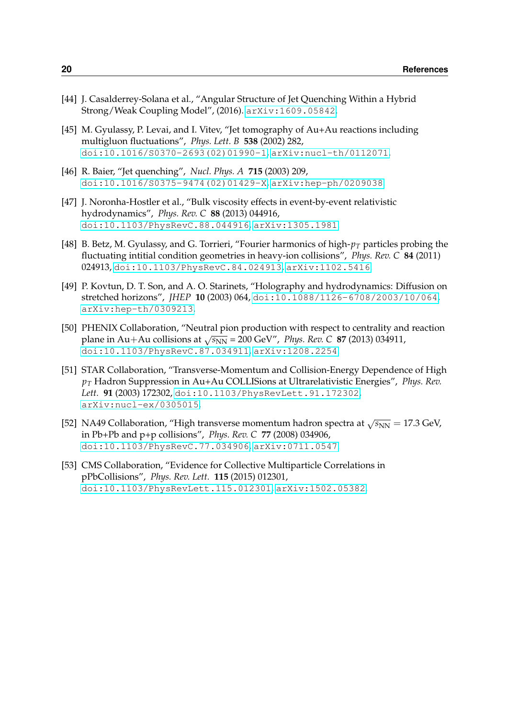- <span id="page-21-0"></span>[44] J. Casalderrey-Solana et al., "Angular Structure of Jet Quenching Within a Hybrid Strong/Weak Coupling Model", (2016). [arXiv:1609.05842](http://www.arXiv.org/abs/1609.05842).
- <span id="page-21-1"></span>[45] M. Gyulassy, P. Levai, and I. Vitev, "Jet tomography of Au+Au reactions including multigluon fluctuations", *Phys. Lett. B* **538** (2002) 282, [doi:10.1016/S0370-2693\(02\)01990-1](http://dx.doi.org/10.1016/S0370-2693(02)01990-1), [arXiv:nucl-th/0112071](http://www.arXiv.org/abs/nucl-th/0112071).
- <span id="page-21-2"></span>[46] R. Baier, "Jet quenching", *Nucl. Phys. A* **715** (2003) 209, [doi:10.1016/S0375-9474\(02\)01429-X](http://dx.doi.org/10.1016/S0375-9474(02)01429-X), [arXiv:hep-ph/0209038](http://www.arXiv.org/abs/hep-ph/0209038).
- <span id="page-21-3"></span>[47] J. Noronha-Hostler et al., "Bulk viscosity effects in event-by-event relativistic hydrodynamics", *Phys. Rev. C* **88** (2013) 044916, [doi:10.1103/PhysRevC.88.044916](http://dx.doi.org/10.1103/PhysRevC.88.044916), [arXiv:1305.1981](http://www.arXiv.org/abs/1305.1981).
- <span id="page-21-4"></span>[48] B. Betz, M. Gyulassy, and G. Torrieri, "Fourier harmonics of high-*p<sup>T</sup>* particles probing the fluctuating intitial condition geometries in heavy-ion collisions", *Phys. Rev. C* **84** (2011) 024913, [doi:10.1103/PhysRevC.84.024913](http://dx.doi.org/10.1103/PhysRevC.84.024913), [arXiv:1102.5416](http://www.arXiv.org/abs/1102.5416).
- <span id="page-21-5"></span>[49] P. Kovtun, D. T. Son, and A. O. Starinets, "Holography and hydrodynamics: Diffusion on stretched horizons", *JHEP* **10** (2003) 064, [doi:10.1088/1126-6708/2003/10/064](http://dx.doi.org/10.1088/1126-6708/2003/10/064), [arXiv:hep-th/0309213](http://www.arXiv.org/abs/hep-th/0309213).
- <span id="page-21-6"></span>[50] PHENIX Collaboration, "Neutral pion production with respect to centrality and reaction  $\frac{p_0}{p_1}$  and  $\frac{p_0}{p_0}$  and  $\frac{p_0}{p_0}$  and  $\frac{p_0}{p_0}$  and  $\frac{p_0}{p_0}$  and  $\frac{p_0}{p_0}$  and  $\frac{p_0}{p_0}$  and  $\frac{p_0}{p_0}$  and  $\frac{p_0}{p_0}$  and  $\frac{p_0}{p_0}$  and  $\frac{p_0}{p_0}$  and  $\frac{p_0}{p_0}$  and  $\frac{p$ [doi:10.1103/PhysRevC.87.034911](http://dx.doi.org/10.1103/PhysRevC.87.034911), [arXiv:1208.2254](http://www.arXiv.org/abs/1208.2254).
- <span id="page-21-7"></span>[51] STAR Collaboration, "Transverse-Momentum and Collision-Energy Dependence of High *p<sup>T</sup>* Hadron Suppression in Au+Au COLLISions at Ultrarelativistic Energies", *Phys. Rev. Lett.* **91** (2003) 172302, [doi:10.1103/PhysRevLett.91.172302](http://dx.doi.org/10.1103/PhysRevLett.91.172302), [arXiv:nucl-ex/0305015](http://www.arXiv.org/abs/nucl-ex/0305015).
- <span id="page-21-8"></span>[52] NA49 Collaboration, "High transverse momentum hadron spectra at  $\sqrt{s_{NN}} = 17.3$  GeV, in Pb+Pb and p+p collisions", *Phys. Rev. C* **77** (2008) 034906, [doi:10.1103/PhysRevC.77.034906](http://dx.doi.org/10.1103/PhysRevC.77.034906), [arXiv:0711.0547](http://www.arXiv.org/abs/0711.0547).
- <span id="page-21-9"></span>[53] CMS Collaboration, "Evidence for Collective Multiparticle Correlations in pPbCollisions", *Phys. Rev. Lett.* **115** (2015) 012301, [doi:10.1103/PhysRevLett.115.012301](http://dx.doi.org/10.1103/PhysRevLett.115.012301), [arXiv:1502.05382](http://www.arXiv.org/abs/1502.05382).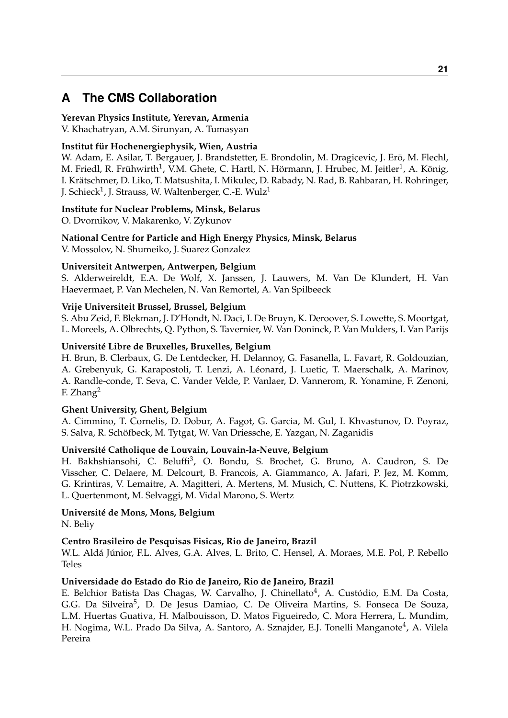# <span id="page-22-0"></span>**A The CMS Collaboration**

# **Yerevan Physics Institute, Yerevan, Armenia**

V. Khachatryan, A.M. Sirunyan, A. Tumasyan

# **Institut für Hochenergiephysik, Wien, Austria**

W. Adam, E. Asilar, T. Bergauer, J. Brandstetter, E. Brondolin, M. Dragicevic, J. Erö, M. Flechl, M. Friedl, R. Frühwirth<sup>1</sup>, V.M. Ghete, C. Hartl, N. Hörmann, J. Hrubec, M. Jeitler<sup>1</sup>, A. König, I. Krätschmer, D. Liko, T. Matsushita, I. Mikulec, D. Rabady, N. Rad, B. Rahbaran, H. Rohringer, J. Schieck $^1$ , J. Strauss, W. Waltenberger, C.-E. Wulz $^1$ 

# **Institute for Nuclear Problems, Minsk, Belarus**

O. Dvornikov, V. Makarenko, V. Zykunov

**National Centre for Particle and High Energy Physics, Minsk, Belarus**

V. Mossolov, N. Shumeiko, J. Suarez Gonzalez

## **Universiteit Antwerpen, Antwerpen, Belgium**

S. Alderweireldt, E.A. De Wolf, X. Janssen, J. Lauwers, M. Van De Klundert, H. Van Haevermaet, P. Van Mechelen, N. Van Remortel, A. Van Spilbeeck

## **Vrije Universiteit Brussel, Brussel, Belgium**

S. Abu Zeid, F. Blekman, J. D'Hondt, N. Daci, I. De Bruyn, K. Deroover, S. Lowette, S. Moortgat, L. Moreels, A. Olbrechts, Q. Python, S. Tavernier, W. Van Doninck, P. Van Mulders, I. Van Parijs

## **Universit´e Libre de Bruxelles, Bruxelles, Belgium**

H. Brun, B. Clerbaux, G. De Lentdecker, H. Delannoy, G. Fasanella, L. Favart, R. Goldouzian, A. Grebenyuk, G. Karapostoli, T. Lenzi, A. Léonard, J. Luetic, T. Maerschalk, A. Marinov, A. Randle-conde, T. Seva, C. Vander Velde, P. Vanlaer, D. Vannerom, R. Yonamine, F. Zenoni, F. Zhang<sup>2</sup>

# **Ghent University, Ghent, Belgium**

A. Cimmino, T. Cornelis, D. Dobur, A. Fagot, G. Garcia, M. Gul, I. Khvastunov, D. Poyraz, S. Salva, R. Schöfbeck, M. Tytgat, W. Van Driessche, E. Yazgan, N. Zaganidis

# **Universit´e Catholique de Louvain, Louvain-la-Neuve, Belgium**

H. Bakhshiansohi, C. Beluffi<sup>3</sup>, O. Bondu, S. Brochet, G. Bruno, A. Caudron, S. De Visscher, C. Delaere, M. Delcourt, B. Francois, A. Giammanco, A. Jafari, P. Jez, M. Komm, G. Krintiras, V. Lemaitre, A. Magitteri, A. Mertens, M. Musich, C. Nuttens, K. Piotrzkowski, L. Quertenmont, M. Selvaggi, M. Vidal Marono, S. Wertz

#### **Universit´e de Mons, Mons, Belgium**

N. Beliy

# **Centro Brasileiro de Pesquisas Fisicas, Rio de Janeiro, Brazil**

W.L. Aldá Júnior, F.L. Alves, G.A. Alves, L. Brito, C. Hensel, A. Moraes, M.E. Pol, P. Rebello Teles

#### **Universidade do Estado do Rio de Janeiro, Rio de Janeiro, Brazil**

E. Belchior Batista Das Chagas, W. Carvalho, J. Chinellato<sup>4</sup>, A. Custódio, E.M. Da Costa, G.G. Da Silveira<sup>5</sup>, D. De Jesus Damiao, C. De Oliveira Martins, S. Fonseca De Souza, L.M. Huertas Guativa, H. Malbouisson, D. Matos Figueiredo, C. Mora Herrera, L. Mundim, H. Nogima, W.L. Prado Da Silva, A. Santoro, A. Sznajder, E.J. Tonelli Manganote<sup>4</sup>, A. Vilela Pereira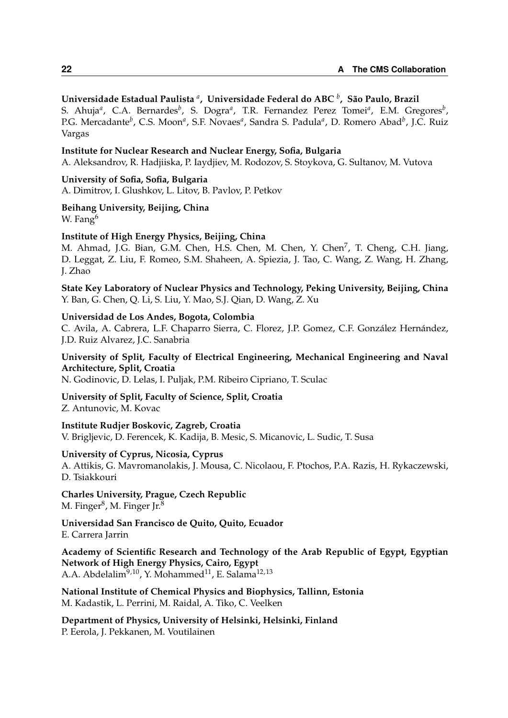## Universidade Estadual Paulista <sup>a</sup>, Universidade Federal do ABC <sup>b</sup>, São Paulo, Brazil

S. Ahuja*<sup>a</sup>* , C.A. Bernardes*<sup>b</sup>* , S. Dogra*<sup>a</sup>* , T.R. Fernandez Perez Tomei*<sup>a</sup>* , E.M. Gregores*<sup>b</sup>* , P.G. Mercadante<sup>b</sup>, C.S. Moon<sup>a</sup>, S.F. Novaes<sup>a</sup>, Sandra S. Padula<sup>a</sup>, D. Romero Abad<sup>b</sup>, J.C. Ruiz Vargas

#### **Institute for Nuclear Research and Nuclear Energy, Sofia, Bulgaria**

A. Aleksandrov, R. Hadjiiska, P. Iaydjiev, M. Rodozov, S. Stoykova, G. Sultanov, M. Vutova

#### **University of Sofia, Sofia, Bulgaria**

A. Dimitrov, I. Glushkov, L. Litov, B. Pavlov, P. Petkov

#### **Beihang University, Beijing, China** W. Fang $<sup>6</sup>$ </sup>

#### **Institute of High Energy Physics, Beijing, China**

M. Ahmad, J.G. Bian, G.M. Chen, H.S. Chen, M. Chen, Y. Chen<sup>7</sup>, T. Cheng, C.H. Jiang, D. Leggat, Z. Liu, F. Romeo, S.M. Shaheen, A. Spiezia, J. Tao, C. Wang, Z. Wang, H. Zhang, J. Zhao

**State Key Laboratory of Nuclear Physics and Technology, Peking University, Beijing, China** Y. Ban, G. Chen, Q. Li, S. Liu, Y. Mao, S.J. Qian, D. Wang, Z. Xu

#### **Universidad de Los Andes, Bogota, Colombia**

C. Avila, A. Cabrera, L.F. Chaparro Sierra, C. Florez, J.P. Gomez, C.F. González Hernández, J.D. Ruiz Alvarez, J.C. Sanabria

#### **University of Split, Faculty of Electrical Engineering, Mechanical Engineering and Naval Architecture, Split, Croatia**

N. Godinovic, D. Lelas, I. Puljak, P.M. Ribeiro Cipriano, T. Sculac

**University of Split, Faculty of Science, Split, Croatia** Z. Antunovic, M. Kovac

# **Institute Rudjer Boskovic, Zagreb, Croatia**

V. Brigljevic, D. Ferencek, K. Kadija, B. Mesic, S. Micanovic, L. Sudic, T. Susa

#### **University of Cyprus, Nicosia, Cyprus**

A. Attikis, G. Mavromanolakis, J. Mousa, C. Nicolaou, F. Ptochos, P.A. Razis, H. Rykaczewski, D. Tsiakkouri

**Charles University, Prague, Czech Republic** M. Finger $^8$ , M. Finger Jr. $^8$ 

# **Universidad San Francisco de Quito, Quito, Ecuador**

E. Carrera Jarrin

**Academy of Scientific Research and Technology of the Arab Republic of Egypt, Egyptian Network of High Energy Physics, Cairo, Egypt** A.A. Abdelalim<sup>9,10</sup>, Y. Mohammed<sup>11</sup>, E. Salama<sup>12,13</sup>

**National Institute of Chemical Physics and Biophysics, Tallinn, Estonia** M. Kadastik, L. Perrini, M. Raidal, A. Tiko, C. Veelken

**Department of Physics, University of Helsinki, Helsinki, Finland** P. Eerola, J. Pekkanen, M. Voutilainen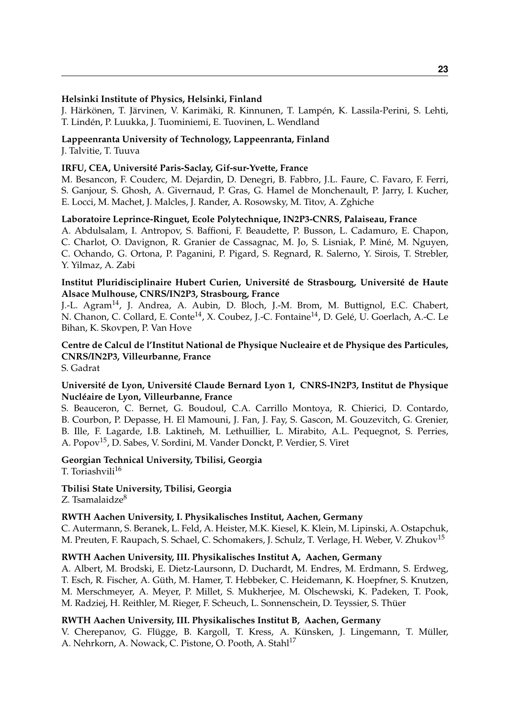#### **Helsinki Institute of Physics, Helsinki, Finland**

J. Härkönen, T. Järvinen, V. Karimäki, R. Kinnunen, T. Lampén, K. Lassila-Perini, S. Lehti, T. Linden, P. Luukka, J. Tuominiemi, E. Tuovinen, L. Wendland ´

# **Lappeenranta University of Technology, Lappeenranta, Finland**

J. Talvitie, T. Tuuva

#### **IRFU, CEA, Université Paris-Saclay, Gif-sur-Yvette, France**

M. Besancon, F. Couderc, M. Dejardin, D. Denegri, B. Fabbro, J.L. Faure, C. Favaro, F. Ferri, S. Ganjour, S. Ghosh, A. Givernaud, P. Gras, G. Hamel de Monchenault, P. Jarry, I. Kucher, E. Locci, M. Machet, J. Malcles, J. Rander, A. Rosowsky, M. Titov, A. Zghiche

#### **Laboratoire Leprince-Ringuet, Ecole Polytechnique, IN2P3-CNRS, Palaiseau, France**

A. Abdulsalam, I. Antropov, S. Baffioni, F. Beaudette, P. Busson, L. Cadamuro, E. Chapon, C. Charlot, O. Davignon, R. Granier de Cassagnac, M. Jo, S. Lisniak, P. Miné, M. Nguyen, C. Ochando, G. Ortona, P. Paganini, P. Pigard, S. Regnard, R. Salerno, Y. Sirois, T. Strebler, Y. Yilmaz, A. Zabi

## Institut Pluridisciplinaire Hubert Curien, Université de Strasbourg, Université de Haute **Alsace Mulhouse, CNRS/IN2P3, Strasbourg, France**

J.-L. Agram14, J. Andrea, A. Aubin, D. Bloch, J.-M. Brom, M. Buttignol, E.C. Chabert, N. Chanon, C. Collard, E. Conte<sup>14</sup>, X. Coubez, J.-C. Fontaine<sup>14</sup>, D. Gelé, U. Goerlach, A.-C. Le Bihan, K. Skovpen, P. Van Hove

# **Centre de Calcul de l'Institut National de Physique Nucleaire et de Physique des Particules, CNRS/IN2P3, Villeurbanne, France**

S. Gadrat

# **Université de Lyon, Université Claude Bernard Lyon 1, CNRS-IN2P3, Institut de Physique Nucl´eaire de Lyon, Villeurbanne, France**

S. Beauceron, C. Bernet, G. Boudoul, C.A. Carrillo Montoya, R. Chierici, D. Contardo, B. Courbon, P. Depasse, H. El Mamouni, J. Fan, J. Fay, S. Gascon, M. Gouzevitch, G. Grenier, B. Ille, F. Lagarde, I.B. Laktineh, M. Lethuillier, L. Mirabito, A.L. Pequegnot, S. Perries, A. Popov15, D. Sabes, V. Sordini, M. Vander Donckt, P. Verdier, S. Viret

#### **Georgian Technical University, Tbilisi, Georgia**

T. Toriashvili $^{16}$ 

#### **Tbilisi State University, Tbilisi, Georgia**

Z. Tsamalaidze $8$ 

## **RWTH Aachen University, I. Physikalisches Institut, Aachen, Germany**

C. Autermann, S. Beranek, L. Feld, A. Heister, M.K. Kiesel, K. Klein, M. Lipinski, A. Ostapchuk, M. Preuten, F. Raupach, S. Schael, C. Schomakers, J. Schulz, T. Verlage, H. Weber, V. Zhukov<sup>15</sup>

#### **RWTH Aachen University, III. Physikalisches Institut A, Aachen, Germany**

A. Albert, M. Brodski, E. Dietz-Laursonn, D. Duchardt, M. Endres, M. Erdmann, S. Erdweg, T. Esch, R. Fischer, A. Güth, M. Hamer, T. Hebbeker, C. Heidemann, K. Hoepfner, S. Knutzen, M. Merschmeyer, A. Meyer, P. Millet, S. Mukherjee, M. Olschewski, K. Padeken, T. Pook, M. Radziej, H. Reithler, M. Rieger, F. Scheuch, L. Sonnenschein, D. Teyssier, S. Thuer ¨

# **RWTH Aachen University, III. Physikalisches Institut B, Aachen, Germany**

V. Cherepanov, G. Flügge, B. Kargoll, T. Kress, A. Künsken, J. Lingemann, T. Müller, A. Nehrkorn, A. Nowack, C. Pistone, O. Pooth, A. Stahl<sup>17</sup>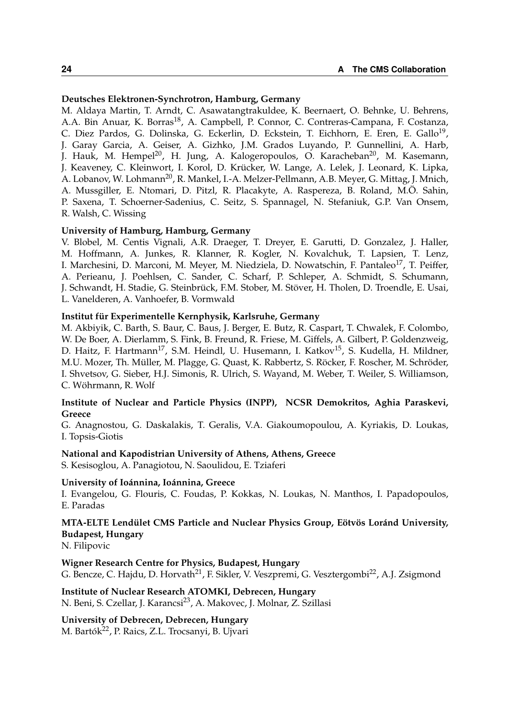#### **Deutsches Elektronen-Synchrotron, Hamburg, Germany**

M. Aldaya Martin, T. Arndt, C. Asawatangtrakuldee, K. Beernaert, O. Behnke, U. Behrens, A.A. Bin Anuar, K. Borras<sup>18</sup>, A. Campbell, P. Connor, C. Contreras-Campana, F. Costanza, C. Diez Pardos, G. Dolinska, G. Eckerlin, D. Eckstein, T. Eichhorn, E. Eren, E. Gallo<sup>19</sup>, J. Garay Garcia, A. Geiser, A. Gizhko, J.M. Grados Luyando, P. Gunnellini, A. Harb, J. Hauk, M. Hempel<sup>20</sup>, H. Jung, A. Kalogeropoulos, O. Karacheban<sup>20</sup>, M. Kasemann, J. Keaveney, C. Kleinwort, I. Korol, D. Krucker, W. Lange, A. Lelek, J. Leonard, K. Lipka, ¨ A. Lobanov, W. Lohmann<sup>20</sup>, R. Mankel, I.-A. Melzer-Pellmann, A.B. Meyer, G. Mittag, J. Mnich, A. Mussgiller, E. Ntomari, D. Pitzl, R. Placakyte, A. Raspereza, B. Roland, M.O. Sahin, ¨ P. Saxena, T. Schoerner-Sadenius, C. Seitz, S. Spannagel, N. Stefaniuk, G.P. Van Onsem, R. Walsh, C. Wissing

#### **University of Hamburg, Hamburg, Germany**

V. Blobel, M. Centis Vignali, A.R. Draeger, T. Dreyer, E. Garutti, D. Gonzalez, J. Haller, M. Hoffmann, A. Junkes, R. Klanner, R. Kogler, N. Kovalchuk, T. Lapsien, T. Lenz, I. Marchesini, D. Marconi, M. Meyer, M. Niedziela, D. Nowatschin, F. Pantaleo<sup>17</sup>, T. Peiffer, A. Perieanu, J. Poehlsen, C. Sander, C. Scharf, P. Schleper, A. Schmidt, S. Schumann, J. Schwandt, H. Stadie, G. Steinbrück, F.M. Stober, M. Stöver, H. Tholen, D. Troendle, E. Usai, L. Vanelderen, A. Vanhoefer, B. Vormwald

## Institut für Experimentelle Kernphysik, Karlsruhe, Germany

M. Akbiyik, C. Barth, S. Baur, C. Baus, J. Berger, E. Butz, R. Caspart, T. Chwalek, F. Colombo, W. De Boer, A. Dierlamm, S. Fink, B. Freund, R. Friese, M. Giffels, A. Gilbert, P. Goldenzweig, D. Haitz, F. Hartmann<sup>17</sup>, S.M. Heindl, U. Husemann, I. Katkov<sup>15</sup>, S. Kudella, H. Mildner, M.U. Mozer, Th. Müller, M. Plagge, G. Quast, K. Rabbertz, S. Röcker, F. Roscher, M. Schröder, I. Shvetsov, G. Sieber, H.J. Simonis, R. Ulrich, S. Wayand, M. Weber, T. Weiler, S. Williamson, C. Wöhrmann, R. Wolf

## **Institute of Nuclear and Particle Physics (INPP), NCSR Demokritos, Aghia Paraskevi, Greece**

G. Anagnostou, G. Daskalakis, T. Geralis, V.A. Giakoumopoulou, A. Kyriakis, D. Loukas, I. Topsis-Giotis

#### **National and Kapodistrian University of Athens, Athens, Greece**

S. Kesisoglou, A. Panagiotou, N. Saoulidou, E. Tziaferi

#### **University of Ioánnina, Ioánnina, Greece**

I. Evangelou, G. Flouris, C. Foudas, P. Kokkas, N. Loukas, N. Manthos, I. Papadopoulos, E. Paradas

# **MTA-ELTE Lendület CMS Particle and Nuclear Physics Group, Eötvös Loránd University, Budapest, Hungary**

N. Filipovic

**Wigner Research Centre for Physics, Budapest, Hungary** G. Bencze, C. Hajdu, D. Horvath<sup>21</sup>, F. Sikler, V. Veszpremi, G. Vesztergombi<sup>22</sup>, A.J. Zsigmond

**Institute of Nuclear Research ATOMKI, Debrecen, Hungary** N. Beni, S. Czellar, J. Karancsi<sup>23</sup>, A. Makovec, J. Molnar, Z. Szillasi

# **University of Debrecen, Debrecen, Hungary**

M. Bartók<sup>22</sup>, P. Raics, Z.L. Trocsanyi, B. Ujvari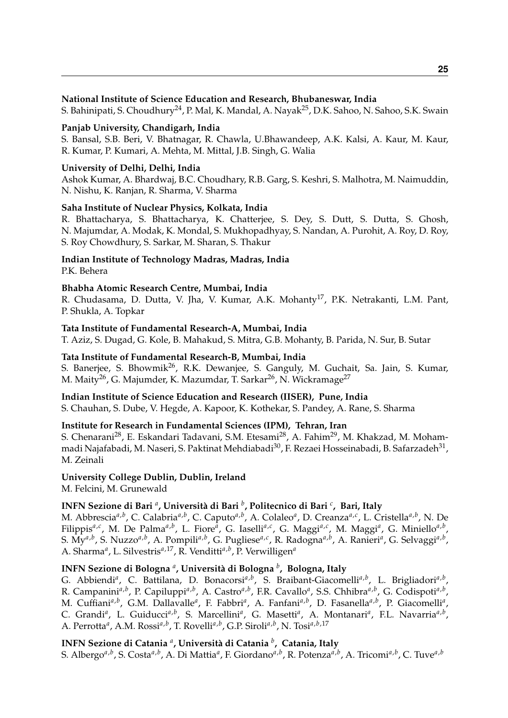## **National Institute of Science Education and Research, Bhubaneswar, India**

S. Bahinipati, S. Choudhury<sup>24</sup>, P. Mal, K. Mandal, A. Nayak<sup>25</sup>, D.K. Sahoo, N. Sahoo, S.K. Swain

# **Panjab University, Chandigarh, India**

S. Bansal, S.B. Beri, V. Bhatnagar, R. Chawla, U.Bhawandeep, A.K. Kalsi, A. Kaur, M. Kaur, R. Kumar, P. Kumari, A. Mehta, M. Mittal, J.B. Singh, G. Walia

# **University of Delhi, Delhi, India**

Ashok Kumar, A. Bhardwaj, B.C. Choudhary, R.B. Garg, S. Keshri, S. Malhotra, M. Naimuddin, N. Nishu, K. Ranjan, R. Sharma, V. Sharma

## **Saha Institute of Nuclear Physics, Kolkata, India**

R. Bhattacharya, S. Bhattacharya, K. Chatterjee, S. Dey, S. Dutt, S. Dutta, S. Ghosh, N. Majumdar, A. Modak, K. Mondal, S. Mukhopadhyay, S. Nandan, A. Purohit, A. Roy, D. Roy, S. Roy Chowdhury, S. Sarkar, M. Sharan, S. Thakur

# **Indian Institute of Technology Madras, Madras, India**

P.K. Behera

## **Bhabha Atomic Research Centre, Mumbai, India**

R. Chudasama, D. Dutta, V. Jha, V. Kumar, A.K. Mohanty<sup>17</sup>, P.K. Netrakanti, L.M. Pant, P. Shukla, A. Topkar

## **Tata Institute of Fundamental Research-A, Mumbai, India**

T. Aziz, S. Dugad, G. Kole, B. Mahakud, S. Mitra, G.B. Mohanty, B. Parida, N. Sur, B. Sutar

#### **Tata Institute of Fundamental Research-B, Mumbai, India**

S. Banerjee, S. Bhowmik<sup>26</sup>, R.K. Dewanjee, S. Ganguly, M. Guchait, Sa. Jain, S. Kumar, M. Maity<sup>26</sup>, G. Majumder, K. Mazumdar, T. Sarkar<sup>26</sup>, N. Wickramage<sup>27</sup>

#### **Indian Institute of Science Education and Research (IISER), Pune, India**

S. Chauhan, S. Dube, V. Hegde, A. Kapoor, K. Kothekar, S. Pandey, A. Rane, S. Sharma

#### **Institute for Research in Fundamental Sciences (IPM), Tehran, Iran**

S. Chenarani<sup>28</sup>, E. Eskandari Tadavani, S.M. Etesami<sup>28</sup>, A. Fahim<sup>29</sup>, M. Khakzad, M. Mohammadi Najafabadi, M. Naseri, S. Paktinat Mehdiabadi<sup>30</sup>, F. Rezaei Hosseinabadi, B. Safarzadeh<sup>31</sup>, M. Zeinali

# **University College Dublin, Dublin, Ireland**

M. Felcini, M. Grunewald

# **INFN Sezione di Bari** *<sup>a</sup>* **, Universit`a di Bari** *<sup>b</sup>* **, Politecnico di Bari** *<sup>c</sup>* **, Bari, Italy**

M. Abbrescia<sup>a,b</sup>, C. Calabria<sup>a,b</sup>, C. Caputo<sup>a,b</sup>, A. Colaleo<sup>a</sup>, D. Creanza<sup>a,c</sup>, L. Cristella<sup>a,b</sup>, N. De Filippis<sup>a,c</sup>, M. De Palma<sup>a,b</sup>, L. Fiore<sup>a</sup>, G. Iaselli<sup>a,c</sup>, G. Maggi<sup>a,c</sup>, M. Maggi<sup>a</sup>, G. Miniello<sup>a,b</sup>, S. My*a*,*<sup>b</sup>* , S. Nuzzo*a*,*<sup>b</sup>* , A. Pompili*a*,*<sup>b</sup>* , G. Pugliese*a*,*<sup>c</sup>* , R. Radogna*a*,*<sup>b</sup>* , A. Ranieri*<sup>a</sup>* , G. Selvaggi*a*,*<sup>b</sup>* , A. Sharma*<sup>a</sup>* , L. Silvestris*a*,17, R. Venditti*a*,*<sup>b</sup>* , P. Verwilligen*<sup>a</sup>*

# **INFN Sezione di Bologna** *<sup>a</sup>* **, Universit`a di Bologna** *<sup>b</sup>* **, Bologna, Italy**

G. Abbiendi<sup>*a*</sup>, C. Battilana, D. Bonacorsi<sup>a,*b*</sup>, S. Braibant-Giacomelli<sup>a,*b*</sup>, L. Brigliadori<sup>a,*b*</sup>, R. Campanini<sup>a,b</sup>, P. Capiluppi<sup>a,b</sup>, A. Castro<sup>a,b</sup>, F.R. Cavallo<sup>a</sup>, S.S. Chhibra<sup>a,b</sup>, G. Codispoti<sup>a,b</sup>, M. Cuffiani<sup>a,b</sup>, G.M. Dallavalle<sup>a</sup>, F. Fabbri<sup>a</sup>, A. Fanfani<sup>a,b</sup>, D. Fasanella<sup>a,b</sup>, P. Giacomelli<sup>a</sup>, C. Grandi<sup>a</sup>, L. Guiducci<sup>a,b</sup>, S. Marcellini<sup>a</sup>, G. Masetti<sup>a</sup>, A. Montanari<sup>a</sup>, F.L. Navarria<sup>a,b</sup>, A. Perrotta*<sup>a</sup>* , A.M. Rossi*a*,*<sup>b</sup>* , T. Rovelli*a*,*<sup>b</sup>* , G.P. Siroli*a*,*<sup>b</sup>* , N. Tosi*a*,*b*,17

# **INFN Sezione di Catania** *<sup>a</sup>* **, Universit`a di Catania** *<sup>b</sup>* **, Catania, Italy**

S. Albergo*a*,*<sup>b</sup>* , S. Costa*a*,*<sup>b</sup>* , A. Di Mattia*<sup>a</sup>* , F. Giordano*a*,*<sup>b</sup>* , R. Potenza*a*,*<sup>b</sup>* , A. Tricomi*a*,*<sup>b</sup>* , C. Tuve*a*,*<sup>b</sup>*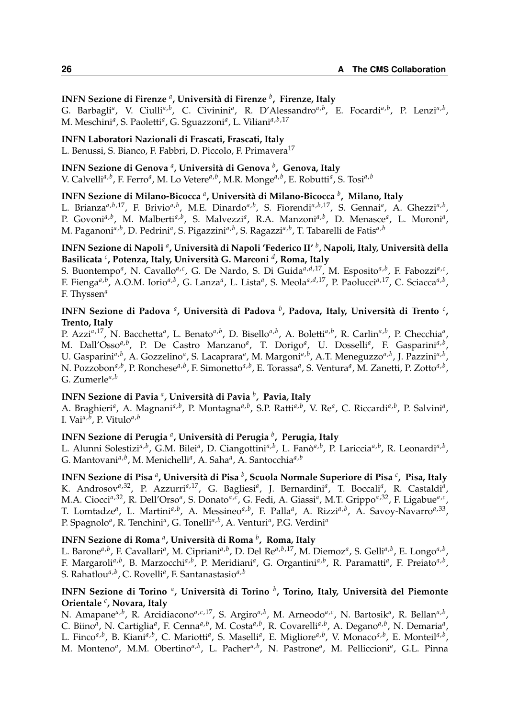## **INFN Sezione di Firenze** *<sup>a</sup>* **, Universit`a di Firenze** *<sup>b</sup>* **, Firenze, Italy**

G. Barbagli<sup>a</sup>, V. Ciulli<sup>a,b</sup>, C. Civinini<sup>a</sup>, R. D'Alessandro<sup>a,b</sup>, E. Focardi<sup>a,b</sup>, P. Lenzi<sup>a,b</sup>, M. Meschini*<sup>a</sup>* , S. Paoletti*<sup>a</sup>* , G. Sguazzoni*<sup>a</sup>* , L. Viliani*a*,*b*,17

#### **INFN Laboratori Nazionali di Frascati, Frascati, Italy**

L. Benussi, S. Bianco, F. Fabbri, D. Piccolo, F. Primavera<sup>17</sup>

# **INFN Sezione di Genova** *<sup>a</sup>* **, Universit`a di Genova** *<sup>b</sup>* **, Genova, Italy**

V. Calvelli<sup>a,b</sup>, F. Ferro<sup>a</sup>, M. Lo Vetere<sup>a,b</sup>, M.R. Monge<sup>a,b</sup>, E. Robutti<sup>a</sup>, S. Tosi<sup>a,b</sup>

## **INFN Sezione di Milano-Bicocca** *<sup>a</sup>* **, Universit`a di Milano-Bicocca** *<sup>b</sup>* **, Milano, Italy**

L. Brianza<sup>*a*,*b*,17</sup>, F. Brivio<sup>*a*,*b*</sup>, M.E. Dinardo<sup>*a*,*b*</sup>, S. Fiorendi<sup>*a*,*b*,17</sup>, S. Gennai<sup>*a*</sup>, A. Ghezzi<sup>*a*,*b*</sup>, P. Govoni<sup>a,*b*</sup>, M. Malberti<sup>a,*b*</sup>, S. Malvezzi<sup>a</sup>, R.A. Manzoni<sup>a,*b*</sup>, D. Menasce<sup>a</sup>, L. Moroni<sup>a</sup>, M. Paganoni*a*,*<sup>b</sup>* , D. Pedrini*<sup>a</sup>* , S. Pigazzini*a*,*<sup>b</sup>* , S. Ragazzi*a*,*<sup>b</sup>* , T. Tabarelli de Fatis*a*,*<sup>b</sup>*

# INFN Sezione di Napoli*ª,* Università di Napoli 'Federico II' <sup>b</sup>, Napoli, Italy, Università della **Basilicata** *<sup>c</sup>* **, Potenza, Italy, Universit`a G. Marconi** *<sup>d</sup>* **, Roma, Italy**

S. Buontempo<sup>a</sup>, N. Cavallo<sup>a,c</sup>, G. De Nardo, S. Di Guida<sup>a,d,17</sup>, M. Esposito<sup>a,b</sup>, F. Fabozzi<sup>a,c</sup>, F. Fienga*a*,*<sup>b</sup>* , A.O.M. Iorio*a*,*<sup>b</sup>* , G. Lanza*<sup>a</sup>* , L. Lista*<sup>a</sup>* , S. Meola*a*,*d*,17, P. Paolucci*a*,17, C. Sciacca*a*,*<sup>b</sup>* , F. Thyssen*<sup>a</sup>*

## INFN Sezione di Padova <sup>a</sup>, Università di Padova <sup>b</sup>, Padova, Italy, Università di Trento <sup>*c*</sup>, **Trento, Italy**

P. Azzi<sup>a,17</sup>, N. Bacchetta<sup>a</sup>, L. Benato<sup>a,*b*</sup>, D. Bisello<sup>a,*b*</sup>, A. Boletti<sup>a,*b*</sup>, R. Carlin<sup>a,*b*</sup>, P. Checchia<sup>a</sup>, M. Dall'Osso<sup>a,b</sup>, P. De Castro Manzano<sup>a</sup>, T. Dorigo<sup>a</sup>, U. Dosselli<sup>a</sup>, F. Gasparini<sup>a,b</sup>, U. Gasparini<sup>a,b</sup>, A. Gozzelino<sup>a</sup>, S. Lacaprara<sup>a</sup>, M. Margoni<sup>a,b</sup>, A.T. Meneguzzo<sup>a,b</sup>, J. Pazzini<sup>a,b</sup>, N. Pozzobon*a*,*<sup>b</sup>* , P. Ronchese*a*,*<sup>b</sup>* , F. Simonetto*a*,*<sup>b</sup>* , E. Torassa*<sup>a</sup>* , S. Ventura*<sup>a</sup>* , M. Zanetti, P. Zotto*a*,*<sup>b</sup>* , G. Zumerle*a*,*<sup>b</sup>*

## **INFN Sezione di Pavia** *<sup>a</sup>* **, Universit`a di Pavia** *<sup>b</sup>* **, Pavia, Italy**

A. Braghieri<sup>a</sup>, A. Magnani<sup>a,b</sup>, P. Montagna<sup>a,b</sup>, S.P. Ratti<sup>a,b</sup>, V. Re<sup>a</sup>, C. Riccardi<sup>a,b</sup>, P. Salvini<sup>a</sup>, I. Vai*a*,*<sup>b</sup>* , P. Vitulo*a*,*<sup>b</sup>*

## **INFN Sezione di Perugia** *<sup>a</sup>* **, Universit`a di Perugia** *<sup>b</sup>* **, Perugia, Italy**

L. Alunni Solestizi<sup>a,b</sup>, G.M. Bilei<sup>a</sup>, D. Ciangottini<sup>a,b</sup>, L. Fanò<sup>a,b</sup>, P. Lariccia<sup>a,b</sup>, R. Leonardi<sup>a,b</sup>, G. Mantovani*a*,*<sup>b</sup>* , M. Menichelli*<sup>a</sup>* , A. Saha*<sup>a</sup>* , A. Santocchia*a*,*<sup>b</sup>*

**INFN Sezione di Pisa** *<sup>a</sup>* **, Universit`a di Pisa** *<sup>b</sup>* **, Scuola Normale Superiore di Pisa** *<sup>c</sup>* **, Pisa, Italy** K. Androsov<sup>a,32</sup>, P. Azzurri<sup>a,17</sup>, G. Bagliesi<sup>a</sup>, J. Bernardini<sup>a</sup>, T. Boccali<sup>a</sup>, R. Castaldi<sup>a</sup>, M.A. Ciocci<sup>a,32</sup>, R. Dell'Orso<sup>a</sup>, S. Donato<sup>a,*c*</sup>, G. Fedi, A. Giassi<sup>a</sup>, M.T. Grippo<sup>a,32</sup>, F. Ligabue<sup>a,*c*</sup>, T. Lomtadze<sup>a</sup>, L. Martini<sup>a,b</sup>, A. Messineo<sup>a,b</sup>, F. Palla<sup>a</sup>, A. Rizzi<sup>a,b</sup>, A. Savoy-Navarro<sup>a,33</sup>, P. Spagnolo*<sup>a</sup>* , R. Tenchini*<sup>a</sup>* , G. Tonelli*a*,*<sup>b</sup>* , A. Venturi*<sup>a</sup>* , P.G. Verdini*<sup>a</sup>*

# **INFN Sezione di Roma** *<sup>a</sup>* **, Universit`a di Roma** *<sup>b</sup>* **, Roma, Italy**

L. Barone*a*,*<sup>b</sup>* , F. Cavallari*<sup>a</sup>* , M. Cipriani*a*,*<sup>b</sup>* , D. Del Re*a*,*b*,17, M. Diemoz*<sup>a</sup>* , S. Gelli*a*,*<sup>b</sup>* , E. Longo*a*,*<sup>b</sup>* , F. Margaroli<sup>a,*b*</sup>, B. Marzocchi<sup>a,*b*</sup>, P. Meridiani<sup>a</sup>, G. Organtini<sup>a,*b*</sup>, R. Paramatti<sup>a</sup>, F. Preiato<sup>a,*b*</sup>, S. Rahatlou*a*,*<sup>b</sup>* , C. Rovelli*<sup>a</sup>* , F. Santanastasio*a*,*<sup>b</sup>*

# **INFN Sezione di Torino** *<sup>a</sup>* **, Universit`a di Torino** *<sup>b</sup>* **, Torino, Italy, Universit`a del Piemonte Orientale** *<sup>c</sup>* **, Novara, Italy**

N. Amapane<sup>a,b</sup>, R. Arcidiacono<sup>a,c,17</sup>, S. Argiro<sup>a,b</sup>, M. Arneodo<sup>a,c</sup>, N. Bartosik<sup>a</sup>, R. Bellan<sup>a,b</sup>, C. Biino<sup>a</sup>, N. Cartiglia<sup>a</sup>, F. Cenna<sup>a,b</sup>, M. Costa<sup>a,b</sup>, R. Covarelli<sup>a,b</sup>, A. Degano<sup>a,b</sup>, N. Demaria<sup>a</sup>, L. Finco<sup>a,*b*</sup>, B. Kiani<sup>a,*b*</sup>, C. Mariotti<sup>a</sup>, S. Maselli<sup>a</sup>, E. Migliore<sup>a,*b*</sup>, V. Monaco<sup>a,*b*</sup>, E. Monteil<sup>a,*b*</sup>, M. Monteno*<sup>a</sup>* , M.M. Obertino*a*,*<sup>b</sup>* , L. Pacher*a*,*<sup>b</sup>* , N. Pastrone*<sup>a</sup>* , M. Pelliccioni*<sup>a</sup>* , G.L. Pinna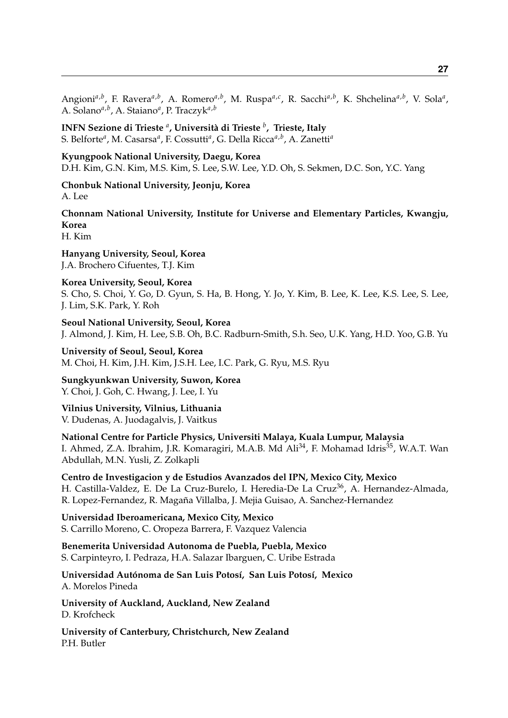Angioni<sup>a,*b*</sup>, F. Ravera<sup>a,*b*</sup>, A. Romero<sup>a,*b*</sup>, M. Ruspa<sup>a,c</sup>, R. Sacchi<sup>a,*b*</sup>, K. Shchelina<sup>a,*b*</sup>, V. Sola<sup>a</sup>, A. Solano*a*,*<sup>b</sup>* , A. Staiano*<sup>a</sup>* , P. Traczyk*a*,*<sup>b</sup>*

**INFN Sezione di Trieste** *<sup>a</sup>* **, Universit`a di Trieste** *<sup>b</sup>* **, Trieste, Italy** S. Belforte*<sup>a</sup>* , M. Casarsa*<sup>a</sup>* , F. Cossutti*<sup>a</sup>* , G. Della Ricca*a*,*<sup>b</sup>* , A. Zanetti*<sup>a</sup>*

**Kyungpook National University, Daegu, Korea** D.H. Kim, G.N. Kim, M.S. Kim, S. Lee, S.W. Lee, Y.D. Oh, S. Sekmen, D.C. Son, Y.C. Yang

**Chonbuk National University, Jeonju, Korea** A. Lee

**Chonnam National University, Institute for Universe and Elementary Particles, Kwangju, Korea** H. Kim

**Hanyang University, Seoul, Korea** J.A. Brochero Cifuentes, T.J. Kim

**Korea University, Seoul, Korea** S. Cho, S. Choi, Y. Go, D. Gyun, S. Ha, B. Hong, Y. Jo, Y. Kim, B. Lee, K. Lee, K.S. Lee, S. Lee, J. Lim, S.K. Park, Y. Roh

**Seoul National University, Seoul, Korea** J. Almond, J. Kim, H. Lee, S.B. Oh, B.C. Radburn-Smith, S.h. Seo, U.K. Yang, H.D. Yoo, G.B. Yu

**University of Seoul, Seoul, Korea** M. Choi, H. Kim, J.H. Kim, J.S.H. Lee, I.C. Park, G. Ryu, M.S. Ryu

**Sungkyunkwan University, Suwon, Korea** Y. Choi, J. Goh, C. Hwang, J. Lee, I. Yu

**Vilnius University, Vilnius, Lithuania** V. Dudenas, A. Juodagalvis, J. Vaitkus

**National Centre for Particle Physics, Universiti Malaya, Kuala Lumpur, Malaysia** I. Ahmed, Z.A. Ibrahim, J.R. Komaragiri, M.A.B. Md Ali<sup>34</sup>, F. Mohamad Idris<sup>35</sup>, W.A.T. Wan Abdullah, M.N. Yusli, Z. Zolkapli

**Centro de Investigacion y de Estudios Avanzados del IPN, Mexico City, Mexico** H. Castilla-Valdez, E. De La Cruz-Burelo, I. Heredia-De La Cruz<sup>36</sup>, A. Hernandez-Almada, R. Lopez-Fernandez, R. Magaña Villalba, J. Mejia Guisao, A. Sanchez-Hernandez

**Universidad Iberoamericana, Mexico City, Mexico** S. Carrillo Moreno, C. Oropeza Barrera, F. Vazquez Valencia

**Benemerita Universidad Autonoma de Puebla, Puebla, Mexico** S. Carpinteyro, I. Pedraza, H.A. Salazar Ibarguen, C. Uribe Estrada

**Universidad Autónoma de San Luis Potosí, San Luis Potosí, Mexico** A. Morelos Pineda

**University of Auckland, Auckland, New Zealand** D. Krofcheck

**University of Canterbury, Christchurch, New Zealand** P.H. Butler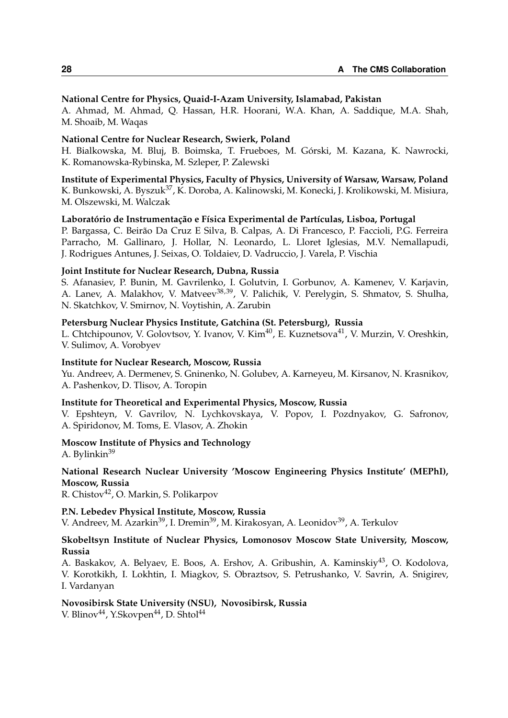#### **National Centre for Physics, Quaid-I-Azam University, Islamabad, Pakistan**

A. Ahmad, M. Ahmad, Q. Hassan, H.R. Hoorani, W.A. Khan, A. Saddique, M.A. Shah, M. Shoaib, M. Waqas

#### **National Centre for Nuclear Research, Swierk, Poland**

H. Bialkowska, M. Bluj, B. Boimska, T. Frueboes, M. Górski, M. Kazana, K. Nawrocki, K. Romanowska-Rybinska, M. Szleper, P. Zalewski

**Institute of Experimental Physics, Faculty of Physics, University of Warsaw, Warsaw, Poland** K. Bunkowski, A. Byszuk<sup>37</sup>, K. Doroba, A. Kalinowski, M. Konecki, J. Krolikowski, M. Misiura, M. Olszewski, M. Walczak

#### Laboratório de Instrumentação e Física Experimental de Partículas, Lisboa, Portugal

P. Bargassa, C. Beirão Da Cruz E Silva, B. Calpas, A. Di Francesco, P. Faccioli, P.G. Ferreira Parracho, M. Gallinaro, J. Hollar, N. Leonardo, L. Lloret Iglesias, M.V. Nemallapudi, J. Rodrigues Antunes, J. Seixas, O. Toldaiev, D. Vadruccio, J. Varela, P. Vischia

#### **Joint Institute for Nuclear Research, Dubna, Russia**

S. Afanasiev, P. Bunin, M. Gavrilenko, I. Golutvin, I. Gorbunov, A. Kamenev, V. Karjavin, A. Lanev, A. Malakhov, V. Matveev<sup>38,39</sup>, V. Palichik, V. Perelygin, S. Shmatov, S. Shulha, N. Skatchkov, V. Smirnov, N. Voytishin, A. Zarubin

#### **Petersburg Nuclear Physics Institute, Gatchina (St. Petersburg), Russia**

L. Chtchipounov, V. Golovtsov, Y. Ivanov, V. Kim<sup>40</sup>, E. Kuznetsova<sup>41</sup>, V. Murzin, V. Oreshkin, V. Sulimov, A. Vorobyev

#### **Institute for Nuclear Research, Moscow, Russia**

Yu. Andreev, A. Dermenev, S. Gninenko, N. Golubev, A. Karneyeu, M. Kirsanov, N. Krasnikov, A. Pashenkov, D. Tlisov, A. Toropin

#### **Institute for Theoretical and Experimental Physics, Moscow, Russia**

V. Epshteyn, V. Gavrilov, N. Lychkovskaya, V. Popov, I. Pozdnyakov, G. Safronov, A. Spiridonov, M. Toms, E. Vlasov, A. Zhokin

# **Moscow Institute of Physics and Technology**

A. Bylinkin<sup>39</sup>

# **National Research Nuclear University 'Moscow Engineering Physics Institute' (MEPhI), Moscow, Russia**

R. Chistov<sup>42</sup>, O. Markin, S. Polikarpov

**P.N. Lebedev Physical Institute, Moscow, Russia** V. Andreev, M. Azarkin<sup>39</sup>, I. Dremin<sup>39</sup>, M. Kirakosyan, A. Leonidov<sup>39</sup>, A. Terkulov

#### **Skobeltsyn Institute of Nuclear Physics, Lomonosov Moscow State University, Moscow, Russia**

A. Baskakov, A. Belyaev, E. Boos, A. Ershov, A. Gribushin, A. Kaminskiy<sup>43</sup>, O. Kodolova, V. Korotkikh, I. Lokhtin, I. Miagkov, S. Obraztsov, S. Petrushanko, V. Savrin, A. Snigirev, I. Vardanyan

# **Novosibirsk State University (NSU), Novosibirsk, Russia**

V. Blinov<sup>44</sup>, Y.Skovpen<sup>44</sup>, D. Shtol<sup>44</sup>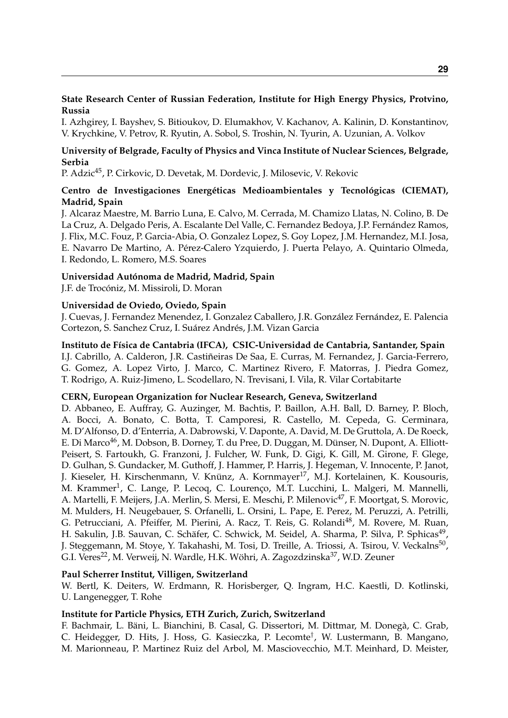## **State Research Center of Russian Federation, Institute for High Energy Physics, Protvino, Russia**

I. Azhgirey, I. Bayshev, S. Bitioukov, D. Elumakhov, V. Kachanov, A. Kalinin, D. Konstantinov, V. Krychkine, V. Petrov, R. Ryutin, A. Sobol, S. Troshin, N. Tyurin, A. Uzunian, A. Volkov

## **University of Belgrade, Faculty of Physics and Vinca Institute of Nuclear Sciences, Belgrade, Serbia**

P. Adzic45, P. Cirkovic, D. Devetak, M. Dordevic, J. Milosevic, V. Rekovic

# Centro de Investigaciones Energéticas Medioambientales y Tecnológicas (CIEMAT), **Madrid, Spain**

J. Alcaraz Maestre, M. Barrio Luna, E. Calvo, M. Cerrada, M. Chamizo Llatas, N. Colino, B. De La Cruz, A. Delgado Peris, A. Escalante Del Valle, C. Fernandez Bedoya, J.P. Fernández Ramos, J. Flix, M.C. Fouz, P. Garcia-Abia, O. Gonzalez Lopez, S. Goy Lopez, J.M. Hernandez, M.I. Josa, E. Navarro De Martino, A. Pérez-Calero Yzquierdo, J. Puerta Pelayo, A. Quintario Olmeda, I. Redondo, L. Romero, M.S. Soares

#### **Universidad Autónoma de Madrid, Madrid, Spain**

J.F. de Trocóniz, M. Missiroli, D. Moran

#### **Universidad de Oviedo, Oviedo, Spain**

J. Cuevas, J. Fernandez Menendez, I. Gonzalez Caballero, J.R. González Fernández, E. Palencia Cortezon, S. Sanchez Cruz, I. Suárez Andrés, J.M. Vizan Garcia

#### Instituto de Física de Cantabria (IFCA), CSIC-Universidad de Cantabria, Santander, Spain

I.J. Cabrillo, A. Calderon, J.R. Castiñeiras De Saa, E. Curras, M. Fernandez, J. Garcia-Ferrero, G. Gomez, A. Lopez Virto, J. Marco, C. Martinez Rivero, F. Matorras, J. Piedra Gomez, T. Rodrigo, A. Ruiz-Jimeno, L. Scodellaro, N. Trevisani, I. Vila, R. Vilar Cortabitarte

#### **CERN, European Organization for Nuclear Research, Geneva, Switzerland**

D. Abbaneo, E. Auffray, G. Auzinger, M. Bachtis, P. Baillon, A.H. Ball, D. Barney, P. Bloch, A. Bocci, A. Bonato, C. Botta, T. Camporesi, R. Castello, M. Cepeda, G. Cerminara, M. D'Alfonso, D. d'Enterria, A. Dabrowski, V. Daponte, A. David, M. De Gruttola, A. De Roeck, E. Di Marco<sup>46</sup>, M. Dobson, B. Dorney, T. du Pree, D. Duggan, M. Dünser, N. Dupont, A. Elliott-Peisert, S. Fartoukh, G. Franzoni, J. Fulcher, W. Funk, D. Gigi, K. Gill, M. Girone, F. Glege, D. Gulhan, S. Gundacker, M. Guthoff, J. Hammer, P. Harris, J. Hegeman, V. Innocente, P. Janot, J. Kieseler, H. Kirschenmann, V. Knünz, A. Kornmayer<sup>17</sup>, M.J. Kortelainen, K. Kousouris, M. Krammer<sup>1</sup>, C. Lange, P. Lecoq, C. Lourenço, M.T. Lucchini, L. Malgeri, M. Mannelli, A. Martelli, F. Meijers, J.A. Merlin, S. Mersi, E. Meschi, P. Milenovic<sup>47</sup>, F. Moortgat, S. Morovic, M. Mulders, H. Neugebauer, S. Orfanelli, L. Orsini, L. Pape, E. Perez, M. Peruzzi, A. Petrilli, G. Petrucciani, A. Pfeiffer, M. Pierini, A. Racz, T. Reis, G. Rolandi<sup>48</sup>, M. Rovere, M. Ruan, H. Sakulin, J.B. Sauvan, C. Schäfer, C. Schwick, M. Seidel, A. Sharma, P. Silva, P. Sphicas<sup>49</sup>, J. Steggemann, M. Stoye, Y. Takahashi, M. Tosi, D. Treille, A. Triossi, A. Tsirou, V. Veckalns<sup>50</sup>, G.I. Veres<sup>22</sup>, M. Verweij, N. Wardle, H.K. Wöhri, A. Zagozdzinska<sup>37</sup>, W.D. Zeuner

## **Paul Scherrer Institut, Villigen, Switzerland**

W. Bertl, K. Deiters, W. Erdmann, R. Horisberger, Q. Ingram, H.C. Kaestli, D. Kotlinski, U. Langenegger, T. Rohe

#### **Institute for Particle Physics, ETH Zurich, Zurich, Switzerland**

F. Bachmair, L. Bäni, L. Bianchini, B. Casal, G. Dissertori, M. Dittmar, M. Donegà, C. Grab, C. Heidegger, D. Hits, J. Hoss, G. Kasieczka, P. Lecomte† , W. Lustermann, B. Mangano, M. Marionneau, P. Martinez Ruiz del Arbol, M. Masciovecchio, M.T. Meinhard, D. Meister,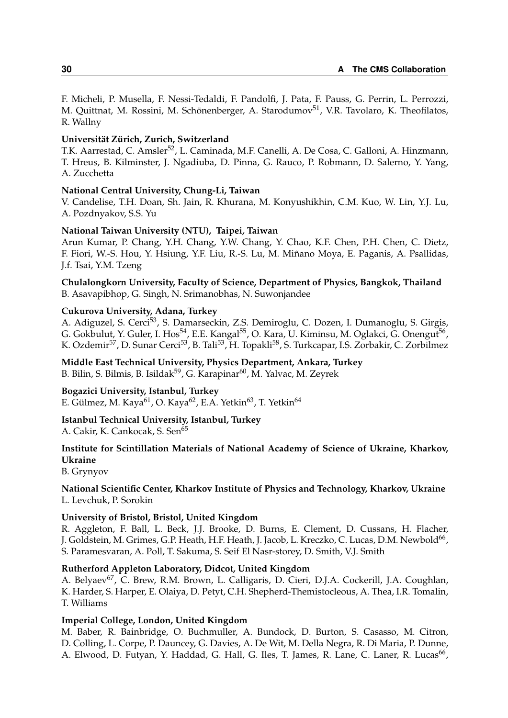F. Micheli, P. Musella, F. Nessi-Tedaldi, F. Pandolfi, J. Pata, F. Pauss, G. Perrin, L. Perrozzi, M. Quittnat, M. Rossini, M. Schönenberger, A. Starodumov<sup>51</sup>, V.R. Tavolaro, K. Theofilatos, R. Wallny

#### Universität Zürich, Zurich, Switzerland

T.K. Aarrestad, C. Amsler<sup>52</sup>, L. Caminada, M.F. Canelli, A. De Cosa, C. Galloni, A. Hinzmann, T. Hreus, B. Kilminster, J. Ngadiuba, D. Pinna, G. Rauco, P. Robmann, D. Salerno, Y. Yang, A. Zucchetta

#### **National Central University, Chung-Li, Taiwan**

V. Candelise, T.H. Doan, Sh. Jain, R. Khurana, M. Konyushikhin, C.M. Kuo, W. Lin, Y.J. Lu, A. Pozdnyakov, S.S. Yu

## **National Taiwan University (NTU), Taipei, Taiwan**

Arun Kumar, P. Chang, Y.H. Chang, Y.W. Chang, Y. Chao, K.F. Chen, P.H. Chen, C. Dietz, F. Fiori, W.-S. Hou, Y. Hsiung, Y.F. Liu, R.-S. Lu, M. Miñano Moya, E. Paganis, A. Psallidas, J.f. Tsai, Y.M. Tzeng

**Chulalongkorn University, Faculty of Science, Department of Physics, Bangkok, Thailand** B. Asavapibhop, G. Singh, N. Srimanobhas, N. Suwonjandee

## **Cukurova University, Adana, Turkey**

A. Adiguzel, S. Cerci<sup>53</sup>, S. Damarseckin, Z.S. Demiroglu, C. Dozen, I. Dumanoglu, S. Girgis, G. Gokbulut, Y. Guler, I. Hos<sup>54</sup>, E.E. Kangal<sup>55</sup>, O. Kara, U. Kiminsu, M. Oglakci, G. Onengut<sup>56</sup>, K. Ozdemir<sup>57</sup>, D. Sunar Cerci<sup>53</sup>, B. Tali<sup>53</sup>, H. Topakli<sup>58</sup>, S. Turkcapar, I.S. Zorbakir, C. Zorbilmez

#### **Middle East Technical University, Physics Department, Ankara, Turkey**

B. Bilin, S. Bilmis, B. Isildak<sup>59</sup>, G. Karapinar<sup>60</sup>, M. Yalvac, M. Zeyrek

#### **Bogazici University, Istanbul, Turkey**

E. Gülmez, M. Kaya<sup>61</sup>, O. Kaya<sup>62</sup>, E.A. Yetkin<sup>63</sup>, T. Yetkin<sup>64</sup>

# **Istanbul Technical University, Istanbul, Turkey**

A. Cakir, K. Cankocak, S. Sen<sup>65</sup>

# **Institute for Scintillation Materials of National Academy of Science of Ukraine, Kharkov, Ukraine**

B. Grynyov

## **National Scientific Center, Kharkov Institute of Physics and Technology, Kharkov, Ukraine** L. Levchuk, P. Sorokin

#### **University of Bristol, Bristol, United Kingdom**

R. Aggleton, F. Ball, L. Beck, J.J. Brooke, D. Burns, E. Clement, D. Cussans, H. Flacher, , J. Goldstein, M. Grimes, G.P. Heath, H.F. Heath, J. Jacob, L. Kreczko, C. Lucas, D.M. Newbold<sup>66</sup> S. Paramesvaran, A. Poll, T. Sakuma, S. Seif El Nasr-storey, D. Smith, V.J. Smith

# **Rutherford Appleton Laboratory, Didcot, United Kingdom**

A. Belyaev<sup>67</sup>, C. Brew, R.M. Brown, L. Calligaris, D. Cieri, D.J.A. Cockerill, J.A. Coughlan, K. Harder, S. Harper, E. Olaiya, D. Petyt, C.H. Shepherd-Themistocleous, A. Thea, I.R. Tomalin, T. Williams

#### **Imperial College, London, United Kingdom**

M. Baber, R. Bainbridge, O. Buchmuller, A. Bundock, D. Burton, S. Casasso, M. Citron, D. Colling, L. Corpe, P. Dauncey, G. Davies, A. De Wit, M. Della Negra, R. Di Maria, P. Dunne, A. Elwood, D. Futyan, Y. Haddad, G. Hall, G. Iles, T. James, R. Lane, C. Laner, R. Lucas<sup>66</sup>,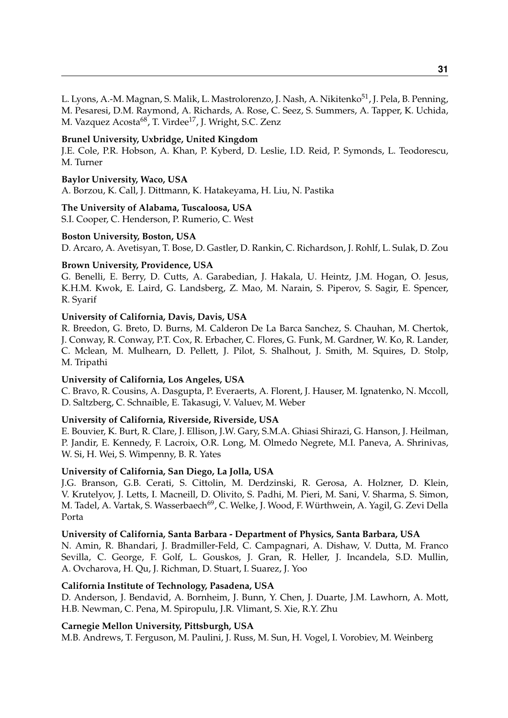L. Lyons, A.-M. Magnan, S. Malik, L. Mastrolorenzo, J. Nash, A. Nikitenko<sup>51</sup>, J. Pela, B. Penning, M. Pesaresi, D.M. Raymond, A. Richards, A. Rose, C. Seez, S. Summers, A. Tapper, K. Uchida, M. Vazquez Acosta<sup>68</sup>, T. Virdee<sup>17</sup>, J. Wright, S.C. Zenz

#### **Brunel University, Uxbridge, United Kingdom**

J.E. Cole, P.R. Hobson, A. Khan, P. Kyberd, D. Leslie, I.D. Reid, P. Symonds, L. Teodorescu, M. Turner

## **Baylor University, Waco, USA**

A. Borzou, K. Call, J. Dittmann, K. Hatakeyama, H. Liu, N. Pastika

#### **The University of Alabama, Tuscaloosa, USA**

S.I. Cooper, C. Henderson, P. Rumerio, C. West

## **Boston University, Boston, USA**

D. Arcaro, A. Avetisyan, T. Bose, D. Gastler, D. Rankin, C. Richardson, J. Rohlf, L. Sulak, D. Zou

## **Brown University, Providence, USA**

G. Benelli, E. Berry, D. Cutts, A. Garabedian, J. Hakala, U. Heintz, J.M. Hogan, O. Jesus, K.H.M. Kwok, E. Laird, G. Landsberg, Z. Mao, M. Narain, S. Piperov, S. Sagir, E. Spencer, R. Syarif

## **University of California, Davis, Davis, USA**

R. Breedon, G. Breto, D. Burns, M. Calderon De La Barca Sanchez, S. Chauhan, M. Chertok, J. Conway, R. Conway, P.T. Cox, R. Erbacher, C. Flores, G. Funk, M. Gardner, W. Ko, R. Lander, C. Mclean, M. Mulhearn, D. Pellett, J. Pilot, S. Shalhout, J. Smith, M. Squires, D. Stolp, M. Tripathi

#### **University of California, Los Angeles, USA**

C. Bravo, R. Cousins, A. Dasgupta, P. Everaerts, A. Florent, J. Hauser, M. Ignatenko, N. Mccoll, D. Saltzberg, C. Schnaible, E. Takasugi, V. Valuev, M. Weber

#### **University of California, Riverside, Riverside, USA**

E. Bouvier, K. Burt, R. Clare, J. Ellison, J.W. Gary, S.M.A. Ghiasi Shirazi, G. Hanson, J. Heilman, P. Jandir, E. Kennedy, F. Lacroix, O.R. Long, M. Olmedo Negrete, M.I. Paneva, A. Shrinivas, W. Si, H. Wei, S. Wimpenny, B. R. Yates

# **University of California, San Diego, La Jolla, USA**

J.G. Branson, G.B. Cerati, S. Cittolin, M. Derdzinski, R. Gerosa, A. Holzner, D. Klein, V. Krutelyov, J. Letts, I. Macneill, D. Olivito, S. Padhi, M. Pieri, M. Sani, V. Sharma, S. Simon, M. Tadel, A. Vartak, S. Wasserbaech<sup>69</sup>, C. Welke, J. Wood, F. Würthwein, A. Yagil, G. Zevi Della Porta

#### **University of California, Santa Barbara - Department of Physics, Santa Barbara, USA**

N. Amin, R. Bhandari, J. Bradmiller-Feld, C. Campagnari, A. Dishaw, V. Dutta, M. Franco Sevilla, C. George, F. Golf, L. Gouskos, J. Gran, R. Heller, J. Incandela, S.D. Mullin, A. Ovcharova, H. Qu, J. Richman, D. Stuart, I. Suarez, J. Yoo

# **California Institute of Technology, Pasadena, USA**

D. Anderson, J. Bendavid, A. Bornheim, J. Bunn, Y. Chen, J. Duarte, J.M. Lawhorn, A. Mott, H.B. Newman, C. Pena, M. Spiropulu, J.R. Vlimant, S. Xie, R.Y. Zhu

# **Carnegie Mellon University, Pittsburgh, USA**

M.B. Andrews, T. Ferguson, M. Paulini, J. Russ, M. Sun, H. Vogel, I. Vorobiev, M. Weinberg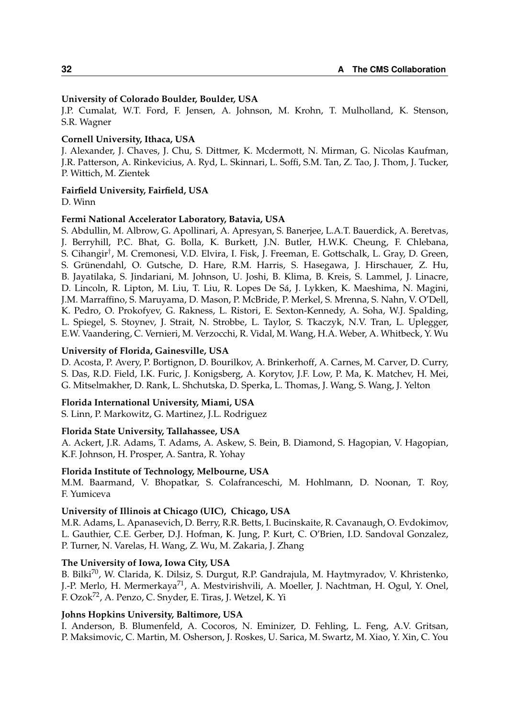#### **University of Colorado Boulder, Boulder, USA**

J.P. Cumalat, W.T. Ford, F. Jensen, A. Johnson, M. Krohn, T. Mulholland, K. Stenson, S.R. Wagner

#### **Cornell University, Ithaca, USA**

J. Alexander, J. Chaves, J. Chu, S. Dittmer, K. Mcdermott, N. Mirman, G. Nicolas Kaufman, J.R. Patterson, A. Rinkevicius, A. Ryd, L. Skinnari, L. Soffi, S.M. Tan, Z. Tao, J. Thom, J. Tucker, P. Wittich, M. Zientek

#### **Fairfield University, Fairfield, USA**

D. Winn

#### **Fermi National Accelerator Laboratory, Batavia, USA**

S. Abdullin, M. Albrow, G. Apollinari, A. Apresyan, S. Banerjee, L.A.T. Bauerdick, A. Beretvas, J. Berryhill, P.C. Bhat, G. Bolla, K. Burkett, J.N. Butler, H.W.K. Cheung, F. Chlebana, S. Cihangir† , M. Cremonesi, V.D. Elvira, I. Fisk, J. Freeman, E. Gottschalk, L. Gray, D. Green, S. Grünendahl, O. Gutsche, D. Hare, R.M. Harris, S. Hasegawa, J. Hirschauer, Z. Hu, B. Jayatilaka, S. Jindariani, M. Johnson, U. Joshi, B. Klima, B. Kreis, S. Lammel, J. Linacre, D. Lincoln, R. Lipton, M. Liu, T. Liu, R. Lopes De Sá, J. Lykken, K. Maeshima, N. Magini, J.M. Marraffino, S. Maruyama, D. Mason, P. McBride, P. Merkel, S. Mrenna, S. Nahn, V. O'Dell, K. Pedro, O. Prokofyev, G. Rakness, L. Ristori, E. Sexton-Kennedy, A. Soha, W.J. Spalding, L. Spiegel, S. Stoynev, J. Strait, N. Strobbe, L. Taylor, S. Tkaczyk, N.V. Tran, L. Uplegger, E.W. Vaandering, C. Vernieri, M. Verzocchi, R. Vidal, M. Wang, H.A. Weber, A. Whitbeck, Y. Wu

#### **University of Florida, Gainesville, USA**

D. Acosta, P. Avery, P. Bortignon, D. Bourilkov, A. Brinkerhoff, A. Carnes, M. Carver, D. Curry, S. Das, R.D. Field, I.K. Furic, J. Konigsberg, A. Korytov, J.F. Low, P. Ma, K. Matchev, H. Mei, G. Mitselmakher, D. Rank, L. Shchutska, D. Sperka, L. Thomas, J. Wang, S. Wang, J. Yelton

#### **Florida International University, Miami, USA**

S. Linn, P. Markowitz, G. Martinez, J.L. Rodriguez

#### **Florida State University, Tallahassee, USA**

A. Ackert, J.R. Adams, T. Adams, A. Askew, S. Bein, B. Diamond, S. Hagopian, V. Hagopian, K.F. Johnson, H. Prosper, A. Santra, R. Yohay

#### **Florida Institute of Technology, Melbourne, USA**

M.M. Baarmand, V. Bhopatkar, S. Colafranceschi, M. Hohlmann, D. Noonan, T. Roy, F. Yumiceva

#### **University of Illinois at Chicago (UIC), Chicago, USA**

M.R. Adams, L. Apanasevich, D. Berry, R.R. Betts, I. Bucinskaite, R. Cavanaugh, O. Evdokimov, L. Gauthier, C.E. Gerber, D.J. Hofman, K. Jung, P. Kurt, C. O'Brien, I.D. Sandoval Gonzalez, P. Turner, N. Varelas, H. Wang, Z. Wu, M. Zakaria, J. Zhang

#### **The University of Iowa, Iowa City, USA**

B. Bilki70, W. Clarida, K. Dilsiz, S. Durgut, R.P. Gandrajula, M. Haytmyradov, V. Khristenko, J.-P. Merlo, H. Mermerkaya<sup>71</sup>, A. Mestvirishvili, A. Moeller, J. Nachtman, H. Ogul, Y. Onel, F. Ozok72, A. Penzo, C. Snyder, E. Tiras, J. Wetzel, K. Yi

#### **Johns Hopkins University, Baltimore, USA**

I. Anderson, B. Blumenfeld, A. Cocoros, N. Eminizer, D. Fehling, L. Feng, A.V. Gritsan, P. Maksimovic, C. Martin, M. Osherson, J. Roskes, U. Sarica, M. Swartz, M. Xiao, Y. Xin, C. You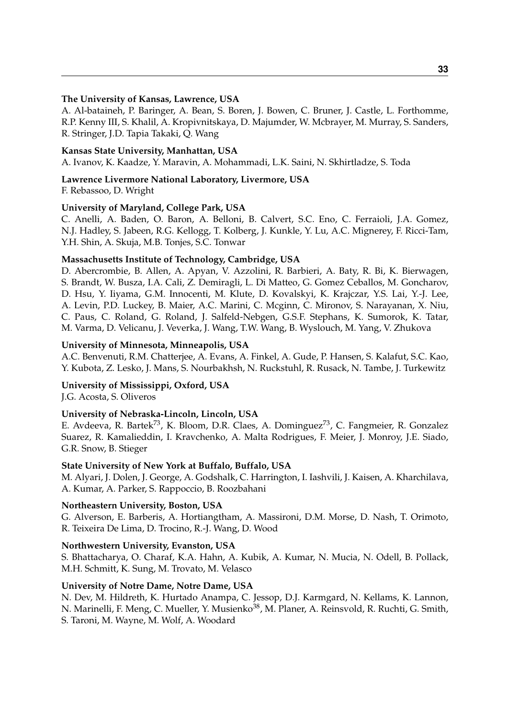#### **The University of Kansas, Lawrence, USA**

A. Al-bataineh, P. Baringer, A. Bean, S. Boren, J. Bowen, C. Bruner, J. Castle, L. Forthomme, R.P. Kenny III, S. Khalil, A. Kropivnitskaya, D. Majumder, W. Mcbrayer, M. Murray, S. Sanders, R. Stringer, J.D. Tapia Takaki, Q. Wang

#### **Kansas State University, Manhattan, USA**

A. Ivanov, K. Kaadze, Y. Maravin, A. Mohammadi, L.K. Saini, N. Skhirtladze, S. Toda

#### **Lawrence Livermore National Laboratory, Livermore, USA**

F. Rebassoo, D. Wright

#### **University of Maryland, College Park, USA**

C. Anelli, A. Baden, O. Baron, A. Belloni, B. Calvert, S.C. Eno, C. Ferraioli, J.A. Gomez, N.J. Hadley, S. Jabeen, R.G. Kellogg, T. Kolberg, J. Kunkle, Y. Lu, A.C. Mignerey, F. Ricci-Tam, Y.H. Shin, A. Skuja, M.B. Tonjes, S.C. Tonwar

#### **Massachusetts Institute of Technology, Cambridge, USA**

D. Abercrombie, B. Allen, A. Apyan, V. Azzolini, R. Barbieri, A. Baty, R. Bi, K. Bierwagen, S. Brandt, W. Busza, I.A. Cali, Z. Demiragli, L. Di Matteo, G. Gomez Ceballos, M. Goncharov, D. Hsu, Y. Iiyama, G.M. Innocenti, M. Klute, D. Kovalskyi, K. Krajczar, Y.S. Lai, Y.-J. Lee, A. Levin, P.D. Luckey, B. Maier, A.C. Marini, C. Mcginn, C. Mironov, S. Narayanan, X. Niu, C. Paus, C. Roland, G. Roland, J. Salfeld-Nebgen, G.S.F. Stephans, K. Sumorok, K. Tatar, M. Varma, D. Velicanu, J. Veverka, J. Wang, T.W. Wang, B. Wyslouch, M. Yang, V. Zhukova

#### **University of Minnesota, Minneapolis, USA**

A.C. Benvenuti, R.M. Chatterjee, A. Evans, A. Finkel, A. Gude, P. Hansen, S. Kalafut, S.C. Kao, Y. Kubota, Z. Lesko, J. Mans, S. Nourbakhsh, N. Ruckstuhl, R. Rusack, N. Tambe, J. Turkewitz

#### **University of Mississippi, Oxford, USA**

J.G. Acosta, S. Oliveros

## **University of Nebraska-Lincoln, Lincoln, USA**

E. Avdeeva, R. Bartek73, K. Bloom, D.R. Claes, A. Dominguez73, C. Fangmeier, R. Gonzalez Suarez, R. Kamalieddin, I. Kravchenko, A. Malta Rodrigues, F. Meier, J. Monroy, J.E. Siado, G.R. Snow, B. Stieger

#### **State University of New York at Buffalo, Buffalo, USA**

M. Alyari, J. Dolen, J. George, A. Godshalk, C. Harrington, I. Iashvili, J. Kaisen, A. Kharchilava, A. Kumar, A. Parker, S. Rappoccio, B. Roozbahani

#### **Northeastern University, Boston, USA**

G. Alverson, E. Barberis, A. Hortiangtham, A. Massironi, D.M. Morse, D. Nash, T. Orimoto, R. Teixeira De Lima, D. Trocino, R.-J. Wang, D. Wood

#### **Northwestern University, Evanston, USA**

S. Bhattacharya, O. Charaf, K.A. Hahn, A. Kubik, A. Kumar, N. Mucia, N. Odell, B. Pollack, M.H. Schmitt, K. Sung, M. Trovato, M. Velasco

#### **University of Notre Dame, Notre Dame, USA**

N. Dev, M. Hildreth, K. Hurtado Anampa, C. Jessop, D.J. Karmgard, N. Kellams, K. Lannon, N. Marinelli, F. Meng, C. Mueller, Y. Musienko<sup>38</sup>, M. Planer, A. Reinsvold, R. Ruchti, G. Smith, S. Taroni, M. Wayne, M. Wolf, A. Woodard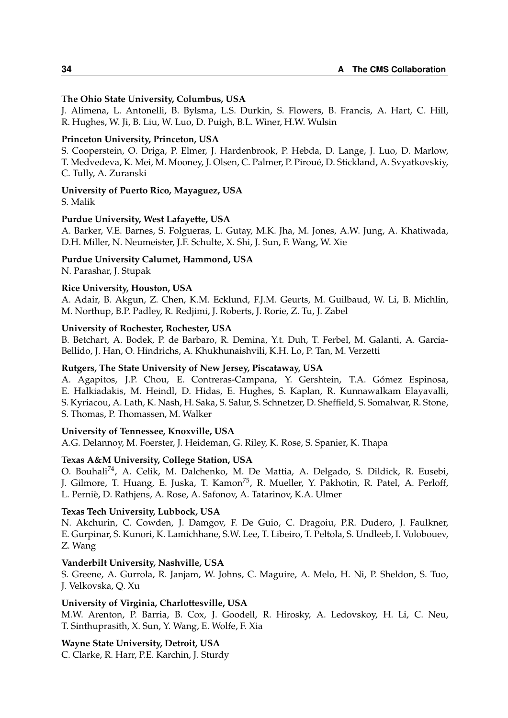#### **The Ohio State University, Columbus, USA**

J. Alimena, L. Antonelli, B. Bylsma, L.S. Durkin, S. Flowers, B. Francis, A. Hart, C. Hill, R. Hughes, W. Ji, B. Liu, W. Luo, D. Puigh, B.L. Winer, H.W. Wulsin

#### **Princeton University, Princeton, USA**

S. Cooperstein, O. Driga, P. Elmer, J. Hardenbrook, P. Hebda, D. Lange, J. Luo, D. Marlow, T. Medvedeva, K. Mei, M. Mooney, J. Olsen, C. Palmer, P. Piroue, D. Stickland, A. Svyatkovskiy, ´ C. Tully, A. Zuranski

**University of Puerto Rico, Mayaguez, USA**

S. Malik

#### **Purdue University, West Lafayette, USA**

A. Barker, V.E. Barnes, S. Folgueras, L. Gutay, M.K. Jha, M. Jones, A.W. Jung, A. Khatiwada, D.H. Miller, N. Neumeister, J.F. Schulte, X. Shi, J. Sun, F. Wang, W. Xie

#### **Purdue University Calumet, Hammond, USA**

N. Parashar, J. Stupak

#### **Rice University, Houston, USA**

A. Adair, B. Akgun, Z. Chen, K.M. Ecklund, F.J.M. Geurts, M. Guilbaud, W. Li, B. Michlin, M. Northup, B.P. Padley, R. Redjimi, J. Roberts, J. Rorie, Z. Tu, J. Zabel

#### **University of Rochester, Rochester, USA**

B. Betchart, A. Bodek, P. de Barbaro, R. Demina, Y.t. Duh, T. Ferbel, M. Galanti, A. Garcia-Bellido, J. Han, O. Hindrichs, A. Khukhunaishvili, K.H. Lo, P. Tan, M. Verzetti

#### **Rutgers, The State University of New Jersey, Piscataway, USA**

A. Agapitos, J.P. Chou, E. Contreras-Campana, Y. Gershtein, T.A. Gomez Espinosa, ´ E. Halkiadakis, M. Heindl, D. Hidas, E. Hughes, S. Kaplan, R. Kunnawalkam Elayavalli, S. Kyriacou, A. Lath, K. Nash, H. Saka, S. Salur, S. Schnetzer, D. Sheffield, S. Somalwar, R. Stone, S. Thomas, P. Thomassen, M. Walker

#### **University of Tennessee, Knoxville, USA**

A.G. Delannoy, M. Foerster, J. Heideman, G. Riley, K. Rose, S. Spanier, K. Thapa

#### **Texas A&M University, College Station, USA**

O. Bouhali74, A. Celik, M. Dalchenko, M. De Mattia, A. Delgado, S. Dildick, R. Eusebi, J. Gilmore, T. Huang, E. Juska, T. Kamon<sup>75</sup>, R. Mueller, Y. Pakhotin, R. Patel, A. Perloff, L. Pernie, D. Rathjens, A. Rose, A. Safonov, A. Tatarinov, K.A. Ulmer `

#### **Texas Tech University, Lubbock, USA**

N. Akchurin, C. Cowden, J. Damgov, F. De Guio, C. Dragoiu, P.R. Dudero, J. Faulkner, E. Gurpinar, S. Kunori, K. Lamichhane, S.W. Lee, T. Libeiro, T. Peltola, S. Undleeb, I. Volobouev, Z. Wang

#### **Vanderbilt University, Nashville, USA**

S. Greene, A. Gurrola, R. Janjam, W. Johns, C. Maguire, A. Melo, H. Ni, P. Sheldon, S. Tuo, J. Velkovska, Q. Xu

#### **University of Virginia, Charlottesville, USA**

M.W. Arenton, P. Barria, B. Cox, J. Goodell, R. Hirosky, A. Ledovskoy, H. Li, C. Neu, T. Sinthuprasith, X. Sun, Y. Wang, E. Wolfe, F. Xia

#### **Wayne State University, Detroit, USA**

C. Clarke, R. Harr, P.E. Karchin, J. Sturdy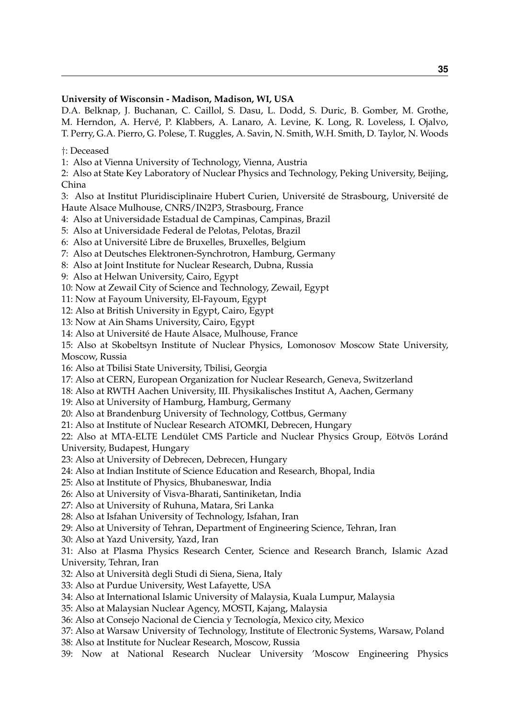#### **University of Wisconsin - Madison, Madison, WI, USA**

D.A. Belknap, J. Buchanan, C. Caillol, S. Dasu, L. Dodd, S. Duric, B. Gomber, M. Grothe, M. Herndon, A. Hervé, P. Klabbers, A. Lanaro, A. Levine, K. Long, R. Loveless, I. Ojalvo, T. Perry, G.A. Pierro, G. Polese, T. Ruggles, A. Savin, N. Smith, W.H. Smith, D. Taylor, N. Woods

- †: Deceased
- 1: Also at Vienna University of Technology, Vienna, Austria
- 2: Also at State Key Laboratory of Nuclear Physics and Technology, Peking University, Beijing, China
- 3: Also at Institut Pluridisciplinaire Hubert Curien, Université de Strasbourg, Université de Haute Alsace Mulhouse, CNRS/IN2P3, Strasbourg, France
- 4: Also at Universidade Estadual de Campinas, Campinas, Brazil
- 5: Also at Universidade Federal de Pelotas, Pelotas, Brazil
- 6: Also at Université Libre de Bruxelles, Bruxelles, Belgium
- 7: Also at Deutsches Elektronen-Synchrotron, Hamburg, Germany
- 8: Also at Joint Institute for Nuclear Research, Dubna, Russia
- 9: Also at Helwan University, Cairo, Egypt
- 10: Now at Zewail City of Science and Technology, Zewail, Egypt
- 11: Now at Fayoum University, El-Fayoum, Egypt
- 12: Also at British University in Egypt, Cairo, Egypt
- 13: Now at Ain Shams University, Cairo, Egypt
- 14: Also at Université de Haute Alsace, Mulhouse, France

15: Also at Skobeltsyn Institute of Nuclear Physics, Lomonosov Moscow State University, Moscow, Russia

- 16: Also at Tbilisi State University, Tbilisi, Georgia
- 17: Also at CERN, European Organization for Nuclear Research, Geneva, Switzerland
- 18: Also at RWTH Aachen University, III. Physikalisches Institut A, Aachen, Germany
- 19: Also at University of Hamburg, Hamburg, Germany
- 20: Also at Brandenburg University of Technology, Cottbus, Germany
- 21: Also at Institute of Nuclear Research ATOMKI, Debrecen, Hungary

22: Also at MTA-ELTE Lendület CMS Particle and Nuclear Physics Group, Eötvös Loránd University, Budapest, Hungary

- 23: Also at University of Debrecen, Debrecen, Hungary
- 24: Also at Indian Institute of Science Education and Research, Bhopal, India
- 25: Also at Institute of Physics, Bhubaneswar, India
- 26: Also at University of Visva-Bharati, Santiniketan, India
- 27: Also at University of Ruhuna, Matara, Sri Lanka
- 28: Also at Isfahan University of Technology, Isfahan, Iran
- 29: Also at University of Tehran, Department of Engineering Science, Tehran, Iran
- 30: Also at Yazd University, Yazd, Iran
- 31: Also at Plasma Physics Research Center, Science and Research Branch, Islamic Azad University, Tehran, Iran
- 32: Also at Universita degli Studi di Siena, Siena, Italy `
- 33: Also at Purdue University, West Lafayette, USA
- 34: Also at International Islamic University of Malaysia, Kuala Lumpur, Malaysia
- 35: Also at Malaysian Nuclear Agency, MOSTI, Kajang, Malaysia
- 36: Also at Consejo Nacional de Ciencia y Tecnología, Mexico city, Mexico
- 37: Also at Warsaw University of Technology, Institute of Electronic Systems, Warsaw, Poland
- 38: Also at Institute for Nuclear Research, Moscow, Russia
- 39: Now at National Research Nuclear University 'Moscow Engineering Physics